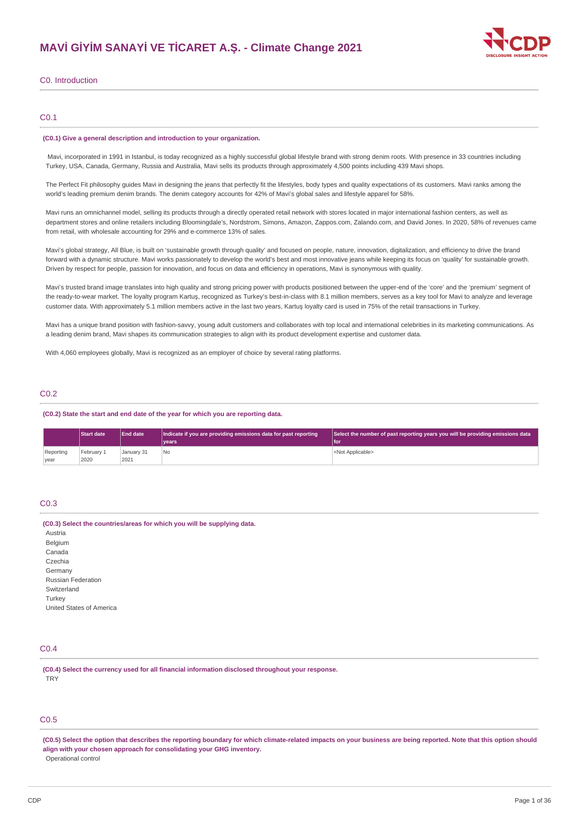

## C0. Introduction

## C0.1

#### **(C0.1) Give a general description and introduction to your organization.**

Mavi, incorporated in 1991 in Istanbul, is today recognized as a highly successful global lifestyle brand with strong denim roots. With presence in 33 countries including Turkey, USA, Canada, Germany, Russia and Australia, Mavi sells its products through approximately 4,500 points including 439 Mavi shops.

The Perfect Fit philosophy guides Mavi in designing the jeans that perfectly fit the lifestyles, body types and quality expectations of its customers. Mavi ranks among the world's leading premium denim brands. The denim category accounts for 42% of Mavi's global sales and lifestyle apparel for 58%.

Mavi runs an omnichannel model, selling its products through a directly operated retail network with stores located in major international fashion centers, as well as department stores and online retailers including Bloomingdale's, Nordstrom, Simons, Amazon, Zappos.com, Zalando.com, and David Jones. In 2020, 58% of revenues came from retail, with wholesale accounting for 29% and e-commerce 13% of sales.

Mavi's global strategy, All Blue, is built on 'sustainable growth through quality' and focused on people, nature, innovation, digitalization, and efficiency to drive the brand forward with a dynamic structure. Mavi works passionately to develop the world's best and most innovative jeans while keeping its focus on 'quality' for sustainable growth. Driven by respect for people, passion for innovation, and focus on data and efficiency in operations, Mavi is synonymous with quality.

Mavi's trusted brand image translates into high quality and strong pricing power with products positioned between the upper-end of the 'core' and the 'premium' segment of the ready-to-wear market. The loyalty program Kartuş, recognized as Turkey's best-in-class with 8.1 million members, serves as a key tool for Mavi to analyze and leverage customer data. With approximately 5.1 million members active in the last two years, Kartuş loyalty card is used in 75% of the retail transactions in Turkey.

Mavi has a unique brand position with fashion-savvy, young adult customers and collaborates with top local and international celebrities in its marketing communications. As a leading denim brand, Mavi shapes its communication strategies to align with its product development expertise and customer data.

With 4,060 employees globally. May iis recognized as an employer of choice by several rating platforms.

## C0.2

### **(C0.2) State the start and end date of the year for which you are reporting data.**

|           | <b>Start date</b> | <b>End date</b><br>Indicate if you are providing emissions data for past reporting |       | Select the number of past reporting years you will be providing emissions data |
|-----------|-------------------|------------------------------------------------------------------------------------|-------|--------------------------------------------------------------------------------|
|           |                   |                                                                                    | vears | lfoi                                                                           |
| Reporting | February 1        | January 31                                                                         | No.   | <not applicable=""></not>                                                      |
| year      | 2020              | 2021                                                                               |       |                                                                                |

## C0.3

#### **(C0.3) Select the countries/areas for which you will be supplying data.**

Austria Belgium Canada Czechia Germany Russian Federation Switzerland Turkey United States of America

## C0.4

**(C0.4) Select the currency used for all financial information disclosed throughout your response. TRY** 

## C0.5

(C0.5) Select the option that describes the reporting boundary for which climate-related impacts on your business are being reported. Note that this option should **align with your chosen approach for consolidating your GHG inventory.** Operational control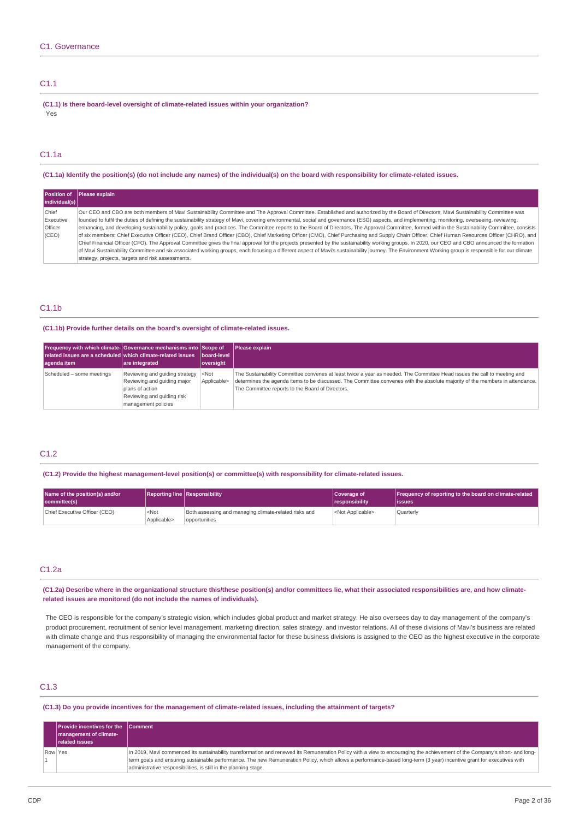## C1.1

**(C1.1) Is there board-level oversight of climate-related issues within your organization?** Yes

## C1.1a

(C1.1a) Identify the position(s) (do not include any names) of the individual(s) on the board with responsibility for climate-related issues.

|               | Position of Please explain                                                                                                                                                                          |
|---------------|-----------------------------------------------------------------------------------------------------------------------------------------------------------------------------------------------------|
| individual(s) |                                                                                                                                                                                                     |
| Chief         | Our CEO and CBO are both members of Mavi Sustainability Committee and The Approval Committee. Established and authorized by the Board of Directors, Mavi Sustainability Committee was               |
| Executive     | founded to fulfil the duties of defining the sustainability strategy of Mavi, covering environmental, social and governance (ESG) aspects, and implementing, monitoring, overseeing, reviewing,     |
| Officer       | enhancing, and developing sustainability policy, goals and practices. The Committee reports to the Board of Directors. The Approval Committee, formed within the Sustainability Committee, consists |
| (CEO)         | of six members: Chief Executive Officer (CEO), Chief Brand Officer (CBO), Chief Marketing Officer (CMO), Chief Purchasing and Supply Chain Officer, Chief Human Resources Officer (CHRO), and       |
|               | Chief Financial Officer (CFO). The Approval Committee gives the final approval for the projects presented by the sustainability working groups. In 2020, our CEO and CBO announced the formation    |
|               | of Mavi Sustainability Committee and six associated working groups, each focusing a different aspect of Mavi's sustainability journey. The Environment Working group is responsible for our climate |
|               | strategy, projects, targets and risk assessments.                                                                                                                                                   |

## C1.1b

**(C1.1b) Provide further details on the board's oversight of climate-related issues.**

| Frequency with which climate- Governance mechanisms into Scope of<br>$\blacksquare$ related issues are a scheduled which climate-related issues $\blacksquare$ board-level<br>agenda item | are integrated                                                                                                                        | oversight                   | Please explain                                                                                                                                                                                                                                                                                               |
|-------------------------------------------------------------------------------------------------------------------------------------------------------------------------------------------|---------------------------------------------------------------------------------------------------------------------------------------|-----------------------------|--------------------------------------------------------------------------------------------------------------------------------------------------------------------------------------------------------------------------------------------------------------------------------------------------------------|
| Scheduled - some meetings                                                                                                                                                                 | Reviewing and quiding strategy<br>Reviewing and guiding major<br>plans of action<br>Reviewing and quiding risk<br>management policies | $ \leq N$ ot<br>Applicable> | The Sustainability Committee convenes at least twice a year as needed. The Committee Head issues the call to meeting and<br>determines the agenda items to be discussed. The Committee convenes with the absolute majority of the members in attendance.<br>The Committee reports to the Board of Directors. |

## C1.2

**(C1.2) Provide the highest management-level position(s) or committee(s) with responsibility for climate-related issues.**

| Name of the position(s) and/or<br>committee(s) |                                 | <b>Reporting line Responsibility</b>                                   | Coverage of<br><i><u><b>I</b></u></i> responsibility | Frequency of reporting to the board on climate-related<br>lissues |
|------------------------------------------------|---------------------------------|------------------------------------------------------------------------|------------------------------------------------------|-------------------------------------------------------------------|
| Chief Executive Officer (CEO)                  | <not<br>Applicable&gt;</not<br> | Both assessing and managing climate-related risks and<br>opportunities | <not applicable=""></not>                            | <b>Quarterly</b>                                                  |

## C1.2a

(C1.2a) Describe where in the organizational structure this/these position(s) and/or committees lie, what their associated responsibilities are, and how climate**related issues are monitored (do not include the names of individuals).**

The CEO is responsible for the company's strategic vision, which includes global product and market strategy. He also oversees day to day management of the company's product procurement, recruitment of senior level management, marketing direction, sales strategy, and investor relations. All of these divisions of Mavi's business are related with climate change and thus responsibility of managing the environmental factor for these business divisions is assigned to the CEO as the highest executive in the corporate management of the company.

# C1.3

(C1.3) Do you provide incentives for the management of climate-related issues, including the attainment of targets?

|         | <b>Provide incentives for the Comment</b> |                                                                                                                                                                            |
|---------|-------------------------------------------|----------------------------------------------------------------------------------------------------------------------------------------------------------------------------|
|         | management of climate-                    |                                                                                                                                                                            |
|         | <b>related issues</b>                     |                                                                                                                                                                            |
| Row Yes |                                           | In 2019, Mavi commenced its sustainability transformation and renewed its Remuneration Policy with a view to encouraging the achievement of the Company's short- and long- |
|         |                                           | term goals and ensuring sustainable performance. The new Remuneration Policy, which allows a performance-based long-term (3 year) incentive grant for executives with      |
|         |                                           | administrative responsibilities, is still in the planning stage.                                                                                                           |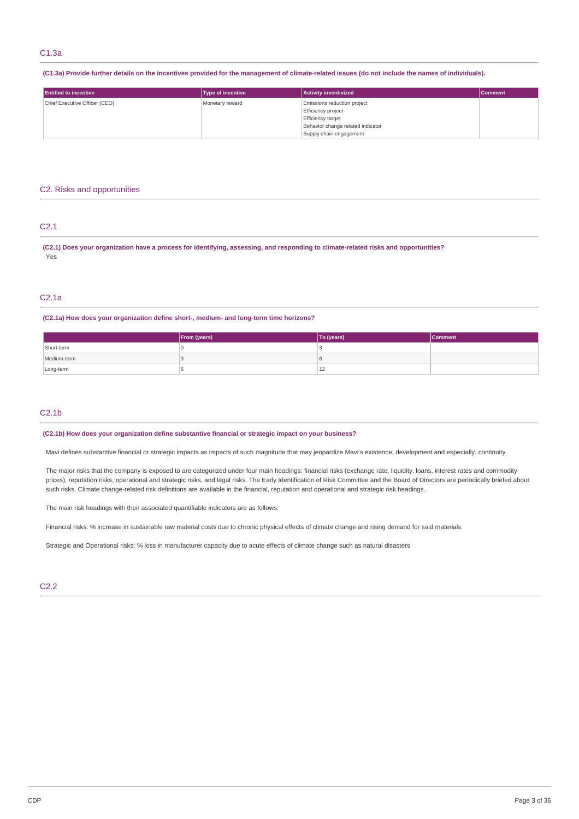(C1.3a) Provide further details on the incentives provided for the management of climate-related issues (do not include the names of individuals).

| <b>Entitled to incentive</b>  | <b>Type of incentive</b> | <b>Activity inventivized</b>      | <b>Comment</b> |
|-------------------------------|--------------------------|-----------------------------------|----------------|
| Chief Executive Officer (CEO) | Monetary reward          | Emissions reduction project       |                |
|                               |                          | Efficiency project                |                |
|                               |                          | <b>Efficiency target</b>          |                |
|                               |                          | Behavior change related indicator |                |
|                               |                          | Supply chain engagement           |                |

## C2. Risks and opportunities

## C2.1

(C2.1) Does your organization have a process for identifying, assessing, and responding to climate-related risks and opportunities? Yes

## C2.1a

## **(C2.1a) How does your organization define short-, medium- and long-term time horizons?**

|             | <b>From (years)</b> | To (years)   | <b>Comment</b> |
|-------------|---------------------|--------------|----------------|
| Short-term  |                     |              |                |
| Medium-term |                     |              |                |
| Long-term   |                     | $\sim$<br>LΖ |                |

## $C2.1<sub>b</sub>$

**(C2.1b) How does your organization define substantive financial or strategic impact on your business?**

Mavi defines substantive financial or strategic impacts as impacts of such magnitude that may jeopardize Mavi's existence, development and especially, continuity.

The major risks that the company is exposed to are categorized under four main headings: financial risks (exchange rate, liquidity, loans, interest rates and commodity prices), reputation risks, operational and strategic risks, and legal risks. The Early Identification of Risk Committee and the Board of Directors are periodically briefed about such risks. Climate change-related risk definitions are available in the financial, reputation and operational and strategic risk headings.

The main risk headings with their associated quantifiable indicators are as follows:

Financial risks: % increase in sustainable raw material costs due to chronic physical effects of climate change and rising demand for said materials

Strategic and Operational risks: % loss in manufacturer capacity due to acute effects of climate change such as natural disasters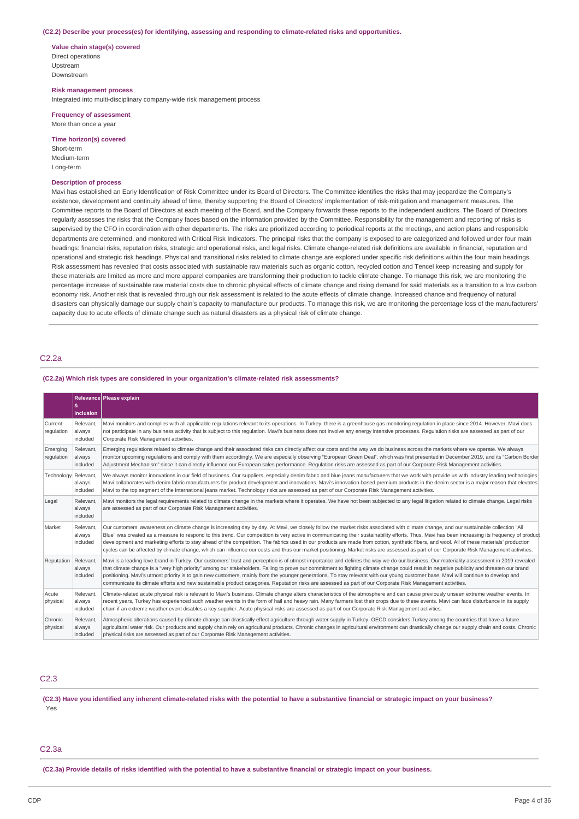#### **(C2.2) Describe your process(es) for identifying, assessing and responding to climate-related risks and opportunities.**

**Value chain stage(s) covered** Direct operations Upstream Downstream

**Risk management process**

Integrated into multi-disciplinary company-wide risk management process

**Frequency of assessment** More than once a year

#### **Time horizon(s) covered**

Short-term Medium-term Long-term

#### **Description of process**

Mavi has established an Early Identification of Risk Committee under its Board of Directors. The Committee identifies the risks that may jeopardize the Company's existence, development and continuity ahead of time, thereby supporting the Board of Directors' implementation of risk-mitigation and management measures. The Committee reports to the Board of Directors at each meeting of the Board, and the Company forwards these reports to the independent auditors. The Board of Directors regularly assesses the risks that the Company faces based on the information provided by the Committee. Responsibility for the management and reporting of risks is supervised by the CFO in coordination with other departments. The risks are prioritized according to periodical reports at the meetings, and action plans and responsible departments are determined, and monitored with Critical Risk Indicators. The principal risks that the company is exposed to are categorized and followed under four main headings: financial risks, reputation risks, strategic and operational risks, and legal risks. Climate change-related risk definitions are available in financial, reputation and operational and strategic risk headings. Physical and transitional risks related to climate change are explored under specific risk definitions within the four main headings. Risk assessment has revealed that costs associated with sustainable raw materials such as organic cotton, recycled cotton and Tencel keep increasing and supply for these materials are limited as more and more apparel companies are transforming their production to tackle climate change. To manage this risk, we are monitoring the percentage increase of sustainable raw material costs due to chronic physical effects of climate change and rising demand for said materials as a transition to a low carbon economy risk. Another risk that is revealed through our risk assessment is related to the acute effects of climate change. Increased chance and frequency of natural disasters can physically damage our supply chain's capacity to manufacture our products. To manage this risk, we are monitoring the percentage loss of the manufacturers' capacity due to acute effects of climate change such as natural disasters as a physical risk of climate change.

## C2.2a

**(C2.2a) Which risk types are considered in your organization's climate-related risk assessments?**

|                        | &<br>inclusion                  | Relevance Please explain                                                                                                                                                                                                                                                                                                                                                                                                                                                                                                                                                                                                                                                                                                                                                       |
|------------------------|---------------------------------|--------------------------------------------------------------------------------------------------------------------------------------------------------------------------------------------------------------------------------------------------------------------------------------------------------------------------------------------------------------------------------------------------------------------------------------------------------------------------------------------------------------------------------------------------------------------------------------------------------------------------------------------------------------------------------------------------------------------------------------------------------------------------------|
| Current<br>regulation  | Relevant.<br>always<br>included | Mavi monitors and complies with all applicable regulations relevant to its operations. In Turkey, there is a greenhouse gas monitoring regulation in place since 2014. However, Mavi does<br>not participate in any business activity that is subject to this requlation. Mavi's business does not involve any energy intensive processes. Requlation risks are assessed as part of our<br>Corporate Risk Management activities.                                                                                                                                                                                                                                                                                                                                               |
| Emerging<br>regulation | Relevant.<br>always<br>included | Emerging regulations related to climate change and their associated risks can directly affect our costs and the way we do business across the markets where we operate. We always<br>monitor upcoming regulations and comply with them accordingly. We are especially observing "European Green Deal", which was first presented in December 2019, and its "Carbon Border<br>Adjustment Mechanism" since it can directly influence our European sales performance. Requlation risks are assessed as part of our Corporate Risk Management activities.                                                                                                                                                                                                                          |
| Technology             | Relevant,<br>always<br>included | We always monitor innovations in our field of business. Our suppliers, especially denim fabric and blue jeans manufacturers that we work with provide us with industry leading technologies.<br>Mavi collaborates with denim fabric manufacturers for product development and innovations. Mavi's innovation-based premium products in the denim sector is a major reason that elevates<br>Mavi to the top segment of the international jeans market. Technology risks are assessed as part of our Corporate Risk Management activities.                                                                                                                                                                                                                                       |
| Legal                  | Relevant.<br>always<br>included | Mavi monitors the legal requirements related to climate change in the markets where it operates. We have not been subjected to any legal litigation related to climate change. Legal risks<br>are assessed as part of our Corporate Risk Management activities.                                                                                                                                                                                                                                                                                                                                                                                                                                                                                                                |
| Market                 | Relevant.<br>always<br>included | Our customers' awareness on climate change is increasing day by day. At Mavi, we closely follow the market risks associated with climate change, and our sustainable collection "All<br>Blue" was created as a measure to respond to this trend. Our competition is very active in communicating their sustainability efforts. Thus, Mavi has been increasing its frequency of product<br>development and marketing efforts to stay ahead of the competition. The fabrics used in our products are made from cotton, synthetic fibers, and wool. All of these materials' production<br>cycles can be affected by climate change, which can influence our costs and thus our market positioning. Market risks are assessed as part of our Corporate Risk Management activities. |
| Reputation Relevant,   | always<br>included              | Mavi is a leading love brand in Turkey. Our customers' trust and perception is of utmost importance and defines the way we do our business. Our materiality assessment in 2019 revealed<br>that climate change is a "very high priority" among our stakeholders. Failing to prove our commitment to fighting climate change could result in negative publicity and threaten our brand<br>positioning. Mavi's utmost priority is to gain new customers, mainly from the younger generations. To stay relevant with our young customer base, Mavi will continue to develop and<br>communicate its climate efforts and new sustainable product categories. Reputation risks are assessed as part of our Corporate Risk Management activities.                                     |
| Acute<br>physical      | Relevant.<br>always<br>included | Climate-related acute physical risk is relevant to Mavi's business. Climate change alters characteristics of the atmosphere and can cause previously unseen extreme weather events. In<br>recent years. Turkey has experienced such weather events in the form of hail and heavy rain. Many farmers lost their crops due to these events. Mayi can face disturbance in its supply<br>chain if an extreme weather event disables a key supplier. Acute physical risks are assessed as part of our Corporate Risk Management activities.                                                                                                                                                                                                                                         |
| Chronic<br>physical    | Relevant.<br>always<br>included | Atmospheric alterations caused by climate change can drastically effect agriculture through water supply in Turkey. OECD considers Turkey among the countries that have a future<br>agricultural water risk. Our products and supply chain rely on agricultural products. Chronic changes in agricultural environment can drastically change our supply chain and costs. Chronic<br>physical risks are assessed as part of our Corporate Risk Management activities.                                                                                                                                                                                                                                                                                                           |

## C2.3

(C2.3) Have you identified any inherent climate-related risks with the potential to have a substantive financial or strategic impact on your business? Yes

## C2.3a

(C2.3a) Provide details of risks identified with the potential to have a substantive financial or strategic impact on your business.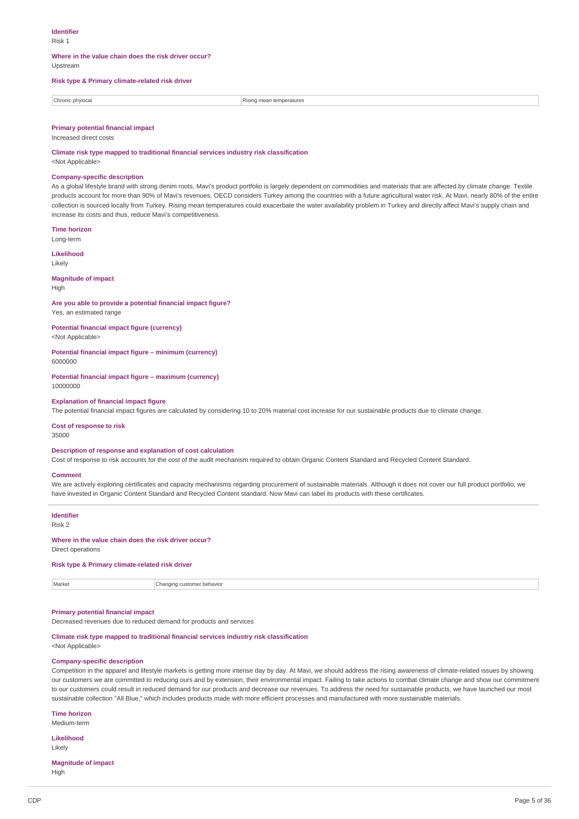## **Identifier**

Risk 1

# **Where in the value chain does the risk driver occur?**

Upstream

### **Risk type & Primary climate-related risk driver**

| Chronic physical | ineratures                      |
|------------------|---------------------------------|
|                  |                                 |
|                  | the contract of the contract of |
|                  |                                 |

### **Primary potential financial impact**

Increased direct costs

### **Climate risk type mapped to traditional financial services industry risk classification**

<Not Applicable>

### **Company-specific description**

As a global lifestyle brand with strong denim roots, Mavi's product portfolio is largely dependent on commodities and materials that are affected by climate change. Textile products account for more than 90% of Mavi's revenues. OECD considers Turkey among the countries with a future agricultural water risk. At Mavi, nearly 80% of the entire collection is sourced locally from Turkey. Rising mean temperatures could exacerbate the water availability problem in Turkey and directly affect Mavi's supply chain and increase its costs and thus, reduce Mavi's competitiveness.

**Time horizon**

Long-term **Likelihood**

Likely

#### **Magnitude of impact** High

### **Are you able to provide a potential financial impact figure?** Yes, an estimated range

**Potential financial impact figure (currency)** <Not Applicable>

#### **Potential financial impact figure – minimum (currency)** 6000000

**Potential financial impact figure – maximum (currency)** 10000000

#### **Explanation of financial impact figure**

The potential financial impact figures are calculated by considering 10 to 20% material cost increase for our sustainable products due to climate change.

## **Cost of response to risk**

35000

## **Description of response and explanation of cost calculation**

Cost of response to risk accounts for the cost of the audit mechanism required to obtain Organic Content Standard and Recycled Content Standard.

### **Comment**

We are actively exploring certificates and capacity mechanisms regarding procurement of sustainable materials. Although it does not cover our full product portfolio, we have invested in Organic Content Standard and Recycled Content standard. Now Mavi can label its products with these certificates.

#### **Identifier** Risk 2

#### **Where in the value chain does the risk driver occur?**

Direct operations

### **Risk type & Primary climate-related risk driver**

Market **Changing customer behavior Changing customer behavior** 

## **Primary potential financial impact**

Decreased revenues due to reduced demand for products and services

**Climate risk type mapped to traditional financial services industry risk classification**

<Not Applicable>

### **Company-specific description**

Competition in the apparel and lifestyle markets is getting more intense day by day. At Mavi, we should address the rising awareness of climate-related issues by showing our customers we are committed to reducing ours and by extension, their environmental impact. Failing to take actions to combat climate change and show our commitment to our customers could result in reduced demand for our products and decrease our revenues. To address the need for sustainable products, we have launched our most sustainable collection "All Blue," which includes products made with more efficient processes and manufactured with more sustainable materials.

**Time horizon**

Medium-term

**Likelihood** Likely

## **Magnitude of impact**

High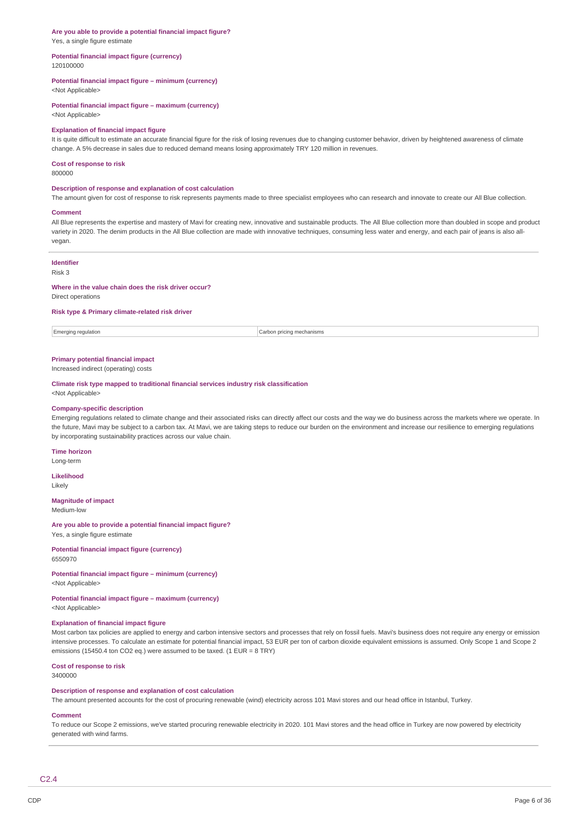# **Are you able to provide a potential financial impact figure?**

Yes, a single figure estimate

#### **Potential financial impact figure (currency)** 120100000

### **Potential financial impact figure – minimum (currency)**

<Not Applicable>

## **Potential financial impact figure – maximum (currency)**

<Not Applicable>

### **Explanation of financial impact figure**

It is quite difficult to estimate an accurate financial figure for the risk of losing revenues due to changing customer behavior, driven by heightened awareness of climate change. A 5% decrease in sales due to reduced demand means losing approximately TRY 120 million in revenues.

### **Cost of response to risk**

800000

## **Description of response and explanation of cost calculation**

The amount given for cost of response to risk represents payments made to three specialist employees who can research and innovate to create our All Blue collection.

#### **Comment**

All Blue represents the expertise and mastery of Mavi for creating new, innovative and sustainable products. The All Blue collection more than doubled in scope and product variety in 2020. The denim products in the All Blue collection are made with innovative techniques, consuming less water and energy, and each pair of jeans is also allvegan.

### **Identifier**

Risk 3

#### **Where in the value chain does the risk driver occur?**

Direct operations

### **Risk type & Primary climate-related risk driver**

Emerging regulation Carbon pricing mechanisms

## **Primary potential financial impact**

Increased indirect (operating) costs

**Climate risk type mapped to traditional financial services industry risk classification** <Not Applicable>

#### **Company-specific description**

Emerging regulations related to climate change and their associated risks can directly affect our costs and the way we do business across the markets where we operate. In the future, Mavi may be subject to a carbon tax. At Mavi, we are taking steps to reduce our burden on the environment and increase our resilience to emerging regulations by incorporating sustainability practices across our value chain.

## **Time horizon**

Long-term

**Likelihood** Likely

#### **Magnitude of impact** Medium-low

**Are you able to provide a potential financial impact figure?**

Yes, a single figure estimate

**Potential financial impact figure (currency)** 6550970

# **Potential financial impact figure – minimum (currency)**

<Not Applicable>

**Potential financial impact figure – maximum (currency)** <Not Applicable>

## **Explanation of financial impact figure**

Most carbon tax policies are applied to energy and carbon intensive sectors and processes that rely on fossil fuels. Mavi's business does not require any energy or emission intensive processes. To calculate an estimate for potential financial impact, 53 EUR per ton of carbon dioxide equivalent emissions is assumed. Only Scope 1 and Scope 2 emissions (15450.4 ton CO2 eq.) were assumed to be taxed. (1 EUR = 8 TRY)

**Cost of response to risk**

## 3400000

## **Description of response and explanation of cost calculation**

The amount presented accounts for the cost of procuring renewable (wind) electricity across 101 Mavi stores and our head office in Istanbul, Turkey.

## **Comment**

To reduce our Scope 2 emissions, we've started procuring renewable electricity in 2020. 101 Mavi stores and the head office in Turkey are now powered by electricity generated with wind farms.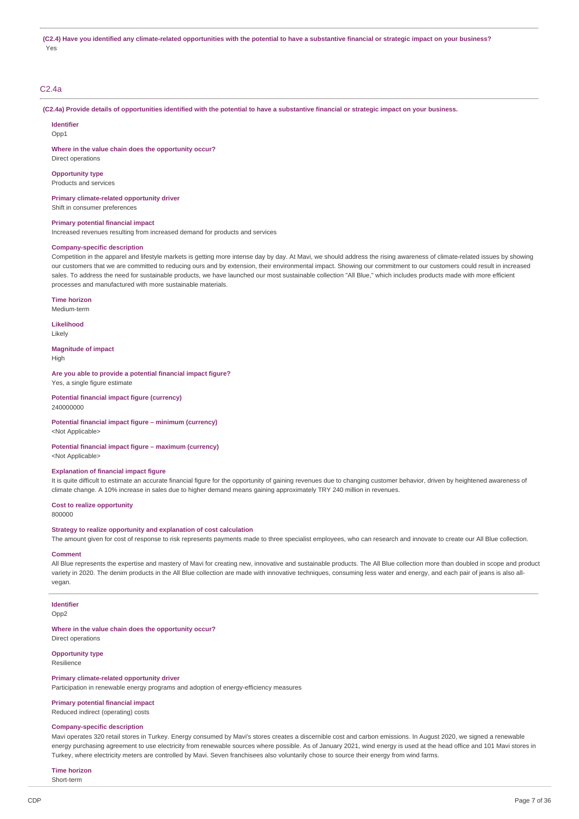### C2.4a

(C2.4a) Provide details of opportunities identified with the potential to have a substantive financial or strategic impact on your business.

### **Identifier**

Opp1

**Where in the value chain does the opportunity occur?**

Direct operations

### **Opportunity type**

Products and services

**Primary climate-related opportunity driver** Shift in consumer preferences

### **Primary potential financial impact**

Increased revenues resulting from increased demand for products and services

#### **Company-specific description**

Competition in the apparel and lifestyle markets is getting more intense day by day. At Mavi, we should address the rising awareness of climate-related issues by showing our customers that we are committed to reducing ours and by extension, their environmental impact. Showing our commitment to our customers could result in increased sales. To address the need for sustainable products, we have launched our most sustainable collection "All Blue," which includes products made with more efficient processes and manufactured with more sustainable materials.

#### **Time horizon**

Medium-term

**Likelihood** Likely

**Magnitude of impact** High

**Are you able to provide a potential financial impact figure?**

Yes, a single figure estimate **Potential financial impact figure (currency)**

240000000

#### **Potential financial impact figure – minimum (currency)**

<Not Applicable>

## **Potential financial impact figure – maximum (currency)**

<Not Applicable>

### **Explanation of financial impact figure**

It is quite difficult to estimate an accurate financial figure for the opportunity of gaining revenues due to changing customer behavior, driven by heightened awareness of climate change. A 10% increase in sales due to higher demand means gaining approximately TRY 240 million in revenues.

**Cost to realize opportunity**

800000

### **Strategy to realize opportunity and explanation of cost calculation**

The amount given for cost of response to risk represents payments made to three specialist employees, who can research and innovate to create our All Blue collection.

### **Comment**

All Blue represents the expertise and mastery of Mavi for creating new, innovative and sustainable products. The All Blue collection more than doubled in scope and product variety in 2020. The denim products in the All Blue collection are made with innovative techniques, consuming less water and energy, and each pair of jeans is also allvegan.

### **Identifier**

Opp<sub>2</sub>

#### **Where in the value chain does the opportunity occur?**

Direct operations

## **Opportunity type**

Resilience

#### **Primary climate-related opportunity driver**

Participation in renewable energy programs and adoption of energy-efficiency measures

## **Primary potential financial impact**

Reduced indirect (operating) costs

#### **Company-specific description**

Mavi operates 320 retail stores in Turkey. Energy consumed by Mavi's stores creates a discernible cost and carbon emissions. In August 2020, we signed a renewable energy purchasing agreement to use electricity from renewable sources where possible. As of January 2021, wind energy is used at the head office and 101 Mayi stores in Turkey, where electricity meters are controlled by Mavi. Seven franchisees also voluntarily chose to source their energy from wind farms.

## **Time horizon**

Short-term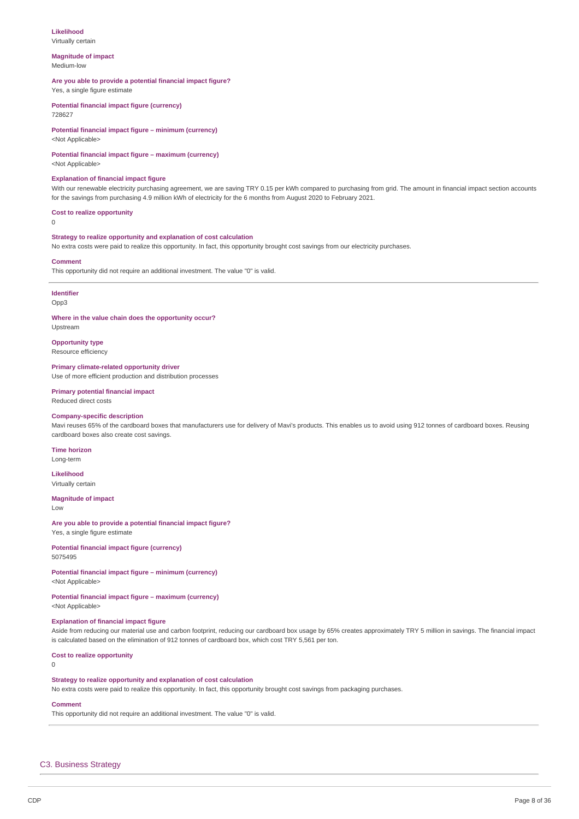### **Likelihood**

Virtually certain

#### **Magnitude of impact** Medium-low

### **Are you able to provide a potential financial impact figure?**

Yes, a single figure estimate

**Potential financial impact figure (currency)** 728627

# **Potential financial impact figure – minimum (currency)**

<Not Applicable>

## **Potential financial impact figure – maximum (currency)**

<Not Applicable>

### **Explanation of financial impact figure**

With our renewable electricity purchasing agreement, we are saving TRY 0.15 per kWh compared to purchasing from grid. The amount in financial impact section accounts for the savings from purchasing 4.9 million kWh of electricity for the 6 months from August 2020 to February 2021.

#### **Cost to realize opportunity**

 $\Omega$ 

## **Strategy to realize opportunity and explanation of cost calculation**

No extra costs were paid to realize this opportunity. In fact, this opportunity brought cost savings from our electricity purchases.

### **Comment**

This opportunity did not require an additional investment. The value "0" is valid.

# **Identifier**

Opp3

# **Where in the value chain does the opportunity occur?**

Upstream

**Opportunity type** Resource efficiency

**Primary climate-related opportunity driver**

Use of more efficient production and distribution processes

### **Primary potential financial impact** Reduced direct costs

### **Company-specific description**

Mavi reuses 65% of the cardboard boxes that manufacturers use for delivery of Mavi's products. This enables us to avoid using 912 tonnes of cardboard boxes. Reusing cardboard boxes also create cost savings.

## **Time horizon**

Long-term **Likelihood**

# Virtually certain

**Magnitude of impact** Low

### **Are you able to provide a potential financial impact figure?**

Yes, a single figure estimate

#### **Potential financial impact figure (currency)** 5075495

# **Potential financial impact figure – minimum (currency)**

<Not Applicable>

# **Potential financial impact figure – maximum (currency)**

<Not Applicable>

## **Explanation of financial impact figure**

Aside from reducing our material use and carbon footprint, reducing our cardboard box usage by 65% creates approximately TRY 5 million in savings. The financial impact is calculated based on the elimination of 912 tonnes of cardboard box, which cost TRY 5,561 per ton.

### **Cost to realize opportunity**

 $\Omega$ 

### **Strategy to realize opportunity and explanation of cost calculation**

No extra costs were paid to realize this opportunity. In fact, this opportunity brought cost savings from packaging purchases.

## **Comment**

This opportunity did not require an additional investment. The value "0" is valid.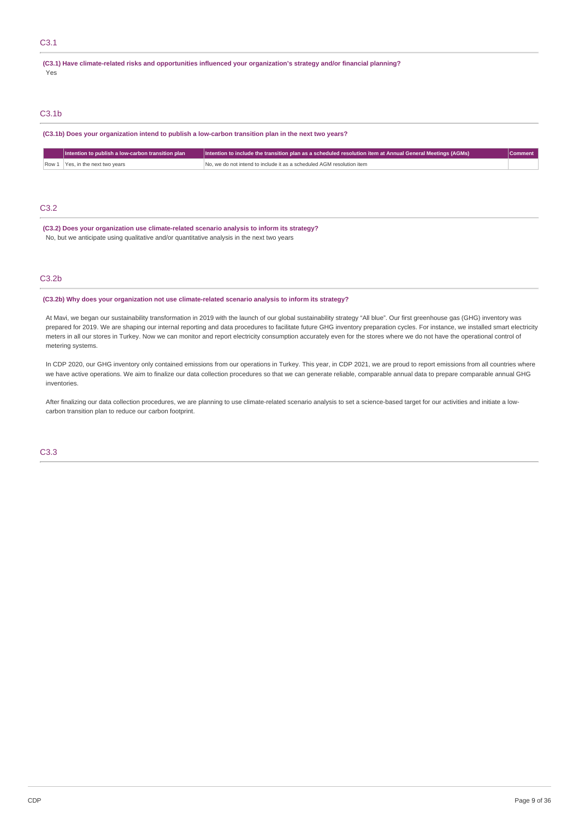## C3.1

#### **(C3.1) Have climate-related risks and opportunities influenced your organization's strategy and/or financial planning?** Yes

# C3.1b

**(C3.1b) Does your organization intend to publish a low-carbon transition plan in the next two years?**

|       | Intention to publish a low-carbon transition plan | Intention to include the transition plan as a scheduled resolution item at Annual General Meetings (AGMs) | <b>Comment</b> |
|-------|---------------------------------------------------|-----------------------------------------------------------------------------------------------------------|----------------|
| Row 1 | Yes, in the next two years                        | No, we do not intend to include it as a scheduled AGM resolution item                                     |                |
|       |                                                   |                                                                                                           |                |
|       |                                                   |                                                                                                           |                |
|       |                                                   |                                                                                                           |                |
| C3.2  |                                                   |                                                                                                           |                |

**(C3.2) Does your organization use climate-related scenario analysis to inform its strategy?** No, but we anticipate using qualitative and/or quantitative analysis in the next two years

## C3.2b

## **(C3.2b) Why does your organization not use climate-related scenario analysis to inform its strategy?**

At Mavi, we began our sustainability transformation in 2019 with the launch of our global sustainability strategy "All blue". Our first greenhouse gas (GHG) inventory was prepared for 2019. We are shaping our internal reporting and data procedures to facilitate future GHG inventory preparation cycles. For instance, we installed smart electricity meters in all our stores in Turkey. Now we can monitor and report electricity consumption accurately even for the stores where we do not have the operational control of metering systems.

In CDP 2020, our GHG inventory only contained emissions from our operations in Turkey. This year, in CDP 2021, we are proud to report emissions from all countries where we have active operations. We aim to finalize our data collection procedures so that we can generate reliable, comparable annual data to prepare comparable annual GHG inventories.

After finalizing our data collection procedures, we are planning to use climate-related scenario analysis to set a science-based target for our activities and initiate a lowcarbon transition plan to reduce our carbon footprint.

C3.3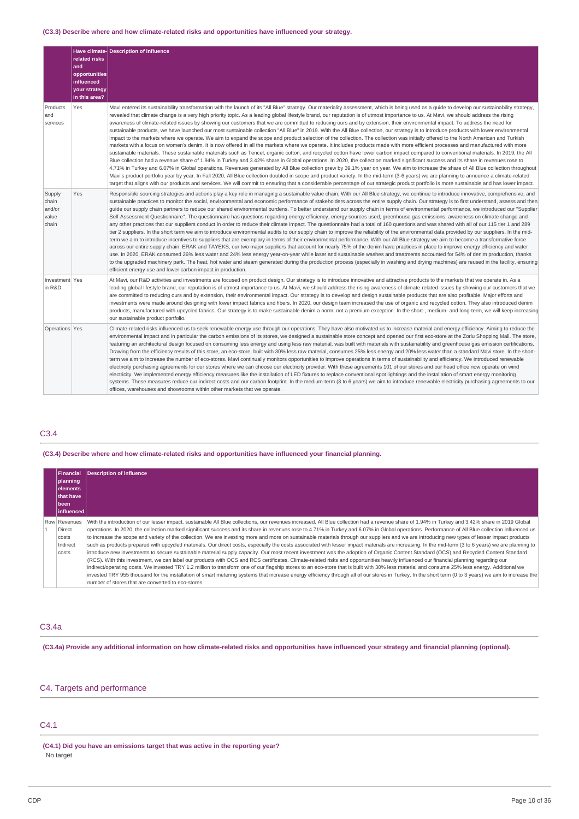## **(C3.3) Describe where and how climate-related risks and opportunities have influenced your strategy.**

|                                             | related risks<br>and<br>opportunities<br>influenced<br>your strategy<br>in this area? | Have climate-Description of influence                                                                                                                                                                                                                                                                                                                                                                                                                                                                                                                                                                                                                                                                                                                                                                                                                                                                                                                                                                                                                                                                                                                                                                                                                                                                                                                                                                                                                                                                                                                                                                                                                                                                                                                                                                                                                                                                                                                                                                                                                                                                 |
|---------------------------------------------|---------------------------------------------------------------------------------------|-------------------------------------------------------------------------------------------------------------------------------------------------------------------------------------------------------------------------------------------------------------------------------------------------------------------------------------------------------------------------------------------------------------------------------------------------------------------------------------------------------------------------------------------------------------------------------------------------------------------------------------------------------------------------------------------------------------------------------------------------------------------------------------------------------------------------------------------------------------------------------------------------------------------------------------------------------------------------------------------------------------------------------------------------------------------------------------------------------------------------------------------------------------------------------------------------------------------------------------------------------------------------------------------------------------------------------------------------------------------------------------------------------------------------------------------------------------------------------------------------------------------------------------------------------------------------------------------------------------------------------------------------------------------------------------------------------------------------------------------------------------------------------------------------------------------------------------------------------------------------------------------------------------------------------------------------------------------------------------------------------------------------------------------------------------------------------------------------------|
| Products<br>and<br>services                 | Yes                                                                                   | Mavi entered its sustainability transformation with the launch of its "All Blue" strategy. Our materiality assessment, which is being used as a quide to develop our sustainability strategy,<br>revealed that climate change is a very high priority topic. As a leading global lifestyle brand, our reputation is of utmost importance to us. At Mavi, we should address the rising<br>awareness of climate-related issues by showing our customers that we are committed to reducing ours and by extension, their environmental impact. To address the need for<br>sustainable products, we have launched our most sustainable collection "All Blue" in 2019. With the All Blue collection, our strategy is to introduce products with lower environmental<br>impact to the markets where we operate. We aim to expand the scope and product selection of the collection. The collection was initially offered to the North American and Turkish<br>markets with a focus on women's denim. It is now offered in all the markets where we operate. It includes products made with more efficient processes and manufactured with more<br>sustainable materials. These sustainable materials such as Tencel, organic cotton, and recycled cotton have lower carbon impact compared to conventional materials. In 2019, the All<br>Blue collection had a revenue share of 1.94% in Turkey and 3.42% share in Global operations. In 2020, the collection marked significant success and its share in revenues rose to<br>4.71% in Turkey and 6.07% in Global operations. Revenues generated by All Blue collection grew by 39.1% year on year. We aim to increase the share of All Blue collection throughout<br>Mavi's product portfolio year by year. In Fall 2020, All Blue collection doubled in scope and product variety. In the mid-term (3-6 years) we are planning to announce a climate-related<br>target that aligns with our products and services. We will commit to ensuring that a considerable percentage of our strategic product portfolio is more sustainable and has lower impact. |
| Supply<br>chain<br>and/or<br>value<br>chain | Yes                                                                                   | Responsible sourcing strategies and actions play a key role in managing a sustainable value chain. With our All Blue strategy, we continue to introduce innovative, comprehensive, and<br>sustainable practices to monitor the social, environmental and economic performance of stakeholders across the entire supply chain. Our strategy is to first understand, assess and then<br>quide our supply chain partners to reduce our shared environmental burdens. To better understand our supply chain in terms of environmental performance, we introduced our "Supplier<br>Self-Assessment Questionnaire". The questionnaire has questions regarding energy efficiency, energy sources used, greenhouse gas emissions, awareness on climate change and<br>any other practices that our suppliers conduct in order to reduce their climate impact. The questionnaire had a total of 160 questions and was shared with all of our 115 tier 1 and 289<br>tier 2 suppliers. In the short term we aim to introduce environmental audits to our supply chain to improve the reliability of the environmental data provided by our suppliers. In the mid-<br>term we aim to introduce incentives to suppliers that are exemplary in terms of their environmental performance. With our All Blue strategy we aim to become a transformative force<br>across our entire supply chain. ERAK and TAYEKS, our two major suppliers that account for nearly 75% of the denim have practices in place to improve energy efficiency and water<br>use. In 2020, ERAK consumed 26% less water and 24% less energy year-on-year while laser and sustainable washes and treatments accounted for 54% of denim production, thanks<br>to the upgraded machinery park. The heat, hot water and steam generated during the production process (especially in washing and drying machines) are reused in the facility, ensuring<br>efficient energy use and lower carbon impact in production.                                                                                                                              |
| Investment Yes<br>in R&D                    |                                                                                       | At Mavi, our R&D activities and investments are focused on product design. Our strategy is to introduce innovative and attractive products to the markets that we operate in. As a<br>leading global lifestyle brand, our reputation is of utmost importance to us. At Mavi, we should address the rising awareness of climate-related issues by showing our customers that we<br>are committed to reducing ours and by extension, their environmental impact. Our strategy is to develop and design sustainable products that are also profitable. Major efforts and<br>investments were made around designing with lower impact fabrics and fibers. In 2020, our design team increased the use of organic and recycled cotton. They also introduced denim<br>products, manufactured with upcycled fabrics. Our strategy is to make sustainable denim a norm, not a premium exception. In the short-, medium- and long-term, we will keep increasing<br>our sustainable product portfolio.                                                                                                                                                                                                                                                                                                                                                                                                                                                                                                                                                                                                                                                                                                                                                                                                                                                                                                                                                                                                                                                                                                           |
| Operations Yes                              |                                                                                       | Climate-related risks influenced us to seek renewable energy use through our operations. They have also motivated us to increase material and energy efficiency. Aiming to reduce the<br>environmental impact and in particular the carbon emissions of its stores, we designed a sustainable store concept and opened our first eco-store at the Zorlu Shopping Mall. The store,<br>featuring an architectural design focused on consuming less energy and using less raw material, was built with materials with sustainability and greenhouse gas emission certifications.<br>Drawing from the efficiency results of this store, an eco-store, built with 30% less raw material, consumes 25% less energy and 20% less water than a standard Mavi store. In the short-<br>term we aim to increase the number of eco-stores. Mavi continually monitors opportunities to improve operations in terms of sustainability and efficiency. We introduced renewable<br>electricity purchasing agreements for our stores where we can choose our electricity provider. With these agreements 101 of our stores and our head office now operate on wind<br>electricity. We implemented energy efficiency measures like the installation of LED fixtures to replace conventional spot lightings and the installation of smart energy monitoring<br>systems. These measures reduce our indirect costs and our carbon footprint. In the medium-term (3 to 6 years) we aim to introduce renewable electricity purchasing agreements to our<br>offices, warehouses and showrooms within other markets that we operate.                                                                                                                                                                                                                                                                                                                                                                                                                                                                                           |

# C3.4

## **(C3.4) Describe where and how climate-related risks and opportunities have influenced your financial planning.**

| Financial<br>planning<br>lelements<br>that have<br>l been<br>l influenced l | <b>Description of influence</b>                                                                                                                                                                                                                                                                                                                                                                                                                                                                                                                                                                                                                                                                                                                                                                                                                                                                                                                                                                                                                                                                                                                                                                                                                                                                                                                                                                                                                                                                                                                                                                                                                                |
|-----------------------------------------------------------------------------|----------------------------------------------------------------------------------------------------------------------------------------------------------------------------------------------------------------------------------------------------------------------------------------------------------------------------------------------------------------------------------------------------------------------------------------------------------------------------------------------------------------------------------------------------------------------------------------------------------------------------------------------------------------------------------------------------------------------------------------------------------------------------------------------------------------------------------------------------------------------------------------------------------------------------------------------------------------------------------------------------------------------------------------------------------------------------------------------------------------------------------------------------------------------------------------------------------------------------------------------------------------------------------------------------------------------------------------------------------------------------------------------------------------------------------------------------------------------------------------------------------------------------------------------------------------------------------------------------------------------------------------------------------------|
| Row Revenues<br>Direct<br>costs<br>Indirect<br>costs                        | With the introduction of our lesser impact, sustainable All Blue collections, our revenues increased. All Blue collection had a revenue share of 1.94% in Turkey and 3.42% share in 2019 Global<br>operations. In 2020, the collection marked significant success and its share in revenues rose to 4.71% in Turkey and 6.07% in Global operations. Performance of All Blue collection influenced us<br>to increase the scope and variety of the collection. We are investing more and more on sustainable materials through our suppliers and we are introducing new types of lesser impact products<br>such as products prepared with upcycled materials. Our direct costs, especially the costs associated with lesser impact materials are increasing. In the mid-term (3 to 6 years) we are planning to<br>introduce new investments to secure sustainable material supply capacity. Our most recent investment was the adoption of Organic Content Standard (OCS) and Recycled Content Standard<br>(RCS). With this investment, we can label our products with OCS and RCS certificates. Climate-related risks and opportunities heavily influenced our financial planning regarding our<br>indirect/operating costs. We invested TRY 1.2 million to transform one of our flagship stores to an eco-store that is built with 30% less material and consume 25% less energy. Additional we<br>invested TRY 955 thousand for the installation of smart metering systems that increase energy efficiency through all of our stores in Turkey. In the short term (0 to 3 years) we aim to increase the<br>number of stores that are converted to eco-stores. |

# C3.4a

(C3.4a) Provide any additional information on how climate-related risks and opportunities have influenced your strategy and financial planning (optional).

# C4. Targets and performance

# C4.1

**(C4.1) Did you have an emissions target that was active in the reporting year?** No target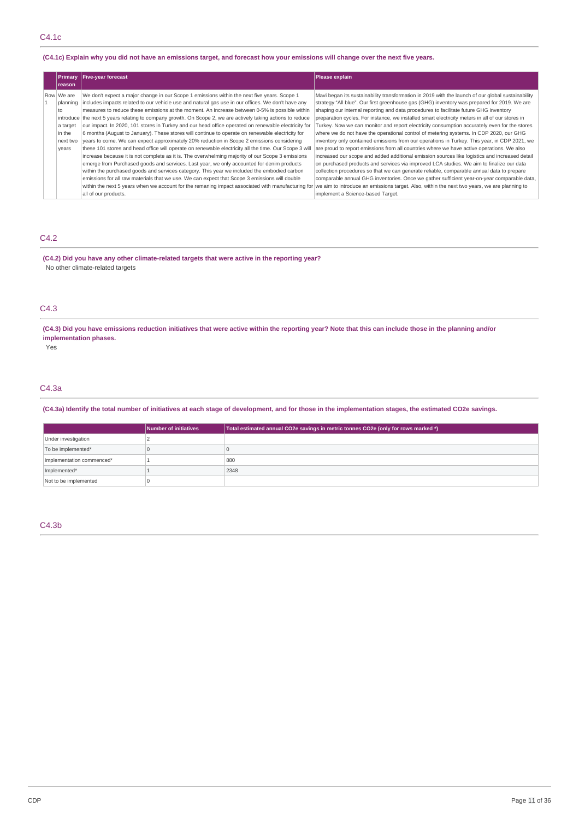## (C4.1c) Explain why you did not have an emissions target, and forecast how your emissions will change over the next five years.

| reason                                                                  | Primary   Five-year forecast                                                                                                                                                                                                                                                                                                                                                                                                                                                                                                                                                                                                                                                                                                                                                                                                                                                                                                                                                                                                                                                                                                                                                                                                                                                                                                                                                                                                                                 | Please explain                                                                                                                                                                                                                                                                                                                                                                                                                                                                                                                                                                                                                                                                                                                                                                                                                                                                                                                                                                                                                                                                                                                                                                                                   |
|-------------------------------------------------------------------------|--------------------------------------------------------------------------------------------------------------------------------------------------------------------------------------------------------------------------------------------------------------------------------------------------------------------------------------------------------------------------------------------------------------------------------------------------------------------------------------------------------------------------------------------------------------------------------------------------------------------------------------------------------------------------------------------------------------------------------------------------------------------------------------------------------------------------------------------------------------------------------------------------------------------------------------------------------------------------------------------------------------------------------------------------------------------------------------------------------------------------------------------------------------------------------------------------------------------------------------------------------------------------------------------------------------------------------------------------------------------------------------------------------------------------------------------------------------|------------------------------------------------------------------------------------------------------------------------------------------------------------------------------------------------------------------------------------------------------------------------------------------------------------------------------------------------------------------------------------------------------------------------------------------------------------------------------------------------------------------------------------------------------------------------------------------------------------------------------------------------------------------------------------------------------------------------------------------------------------------------------------------------------------------------------------------------------------------------------------------------------------------------------------------------------------------------------------------------------------------------------------------------------------------------------------------------------------------------------------------------------------------------------------------------------------------|
| Row We are<br>planning<br>to<br>a target<br>in the<br>next two<br>years | We don't expect a major change in our Scope 1 emissions within the next five years. Scope 1<br>includes impacts related to our vehicle use and natural gas use in our offices. We don't have any<br>measures to reduce these emissions at the moment. An increase between 0-5% is possible within<br>introduce the next 5 years relating to company growth. On Scope 2, we are actively taking actions to reduce<br>our impact. In 2020, 101 stores in Turkey and our head office operated on renewable electricity for<br>6 months (August to January). These stores will continue to operate on renewable electricity for<br>years to come. We can expect approximately 20% reduction in Scope 2 emissions considering<br>these 101 stores and head office will operate on renewable electricity all the time. Our Scope 3 will<br>increase because it is not complete as it is. The overwhelming majority of our Scope 3 emissions<br>emerge from Purchased goods and services. Last year, we only accounted for denim products<br>within the purchased goods and services category. This year we included the embodied carbon<br>emissions for all raw materials that we use. We can expect that Scope 3 emissions will double<br>within the next 5 years when we account for the remaning impact associated with manufacturing for we aim to introduce an emissions target. Also, within the next two years, we are planning to<br>all of our products. | Mavi began its sustainability transformation in 2019 with the launch of our global sustainability<br>strategy "All blue". Our first greenhouse gas (GHG) inventory was prepared for 2019. We are<br>shaping our internal reporting and data procedures to facilitate future GHG inventory<br>preparation cycles. For instance, we installed smart electricity meters in all of our stores in<br>Turkey. Now we can monitor and report electricity consumption accurately even for the stores<br>where we do not have the operational control of metering systems. In CDP 2020, our GHG<br>inventory only contained emissions from our operations in Turkey. This year, in CDP 2021, we<br>are proud to report emissions from all countries where we have active operations. We also<br>increased our scope and added additional emission sources like logistics and increased detail<br>on purchased products and services via improved LCA studies. We aim to finalize our data<br>collection procedures so that we can generate reliable, comparable annual data to prepare<br>comparable annual GHG inventories. Once we gather sufficient year-on-year comparable data,<br>implement a Science-based Target. |

## C4.2

**(C4.2) Did you have any other climate-related targets that were active in the reporting year?** No other climate-related targets

## C4.3

(C4.3) Did you have emissions reduction initiatives that were active within the reporting year? Note that this can include those in the planning and/or **implementation phases.**

Yes

# C4.3a

(C4.3a) Identify the total number of initiatives at each stage of development, and for those in the implementation stages, the estimated CO2e savings.

|                           | Number of initiatives | Total estimated annual CO2e savings in metric tonnes CO2e (only for rows marked *) |
|---------------------------|-----------------------|------------------------------------------------------------------------------------|
| Under investigation       |                       |                                                                                    |
| To be implemented*        |                       |                                                                                    |
| Implementation commenced* |                       | 880                                                                                |
| Implemented*              |                       | 2348                                                                               |
| Not to be implemented     |                       |                                                                                    |

## C4.3b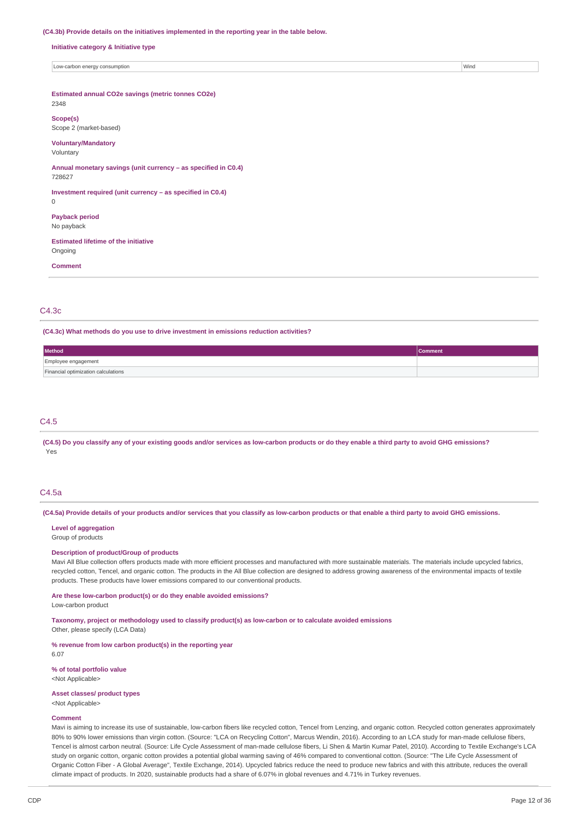#### **(C4.3b) Provide details on the initiatives implemented in the reporting year in the table below.**

**Initiative category & Initiative type**

Low-carbon energy consumption with the constant of the constant of the constant of the constant of the constant of the constant of the constant of the constant of the constant of the constant of the constant of the constan

**Estimated annual CO2e savings (metric tonnes CO2e)**

## 2348

**Scope(s)** Scope 2 (market-based)

### **Voluntary/Mandatory**

Voluntary

**Annual monetary savings (unit currency – as specified in C0.4)** 728627

**Investment required (unit currency – as specified in C0.4)**

0

**Payback period** No payback

**Estimated lifetime of the initiative** Ongoing

**Comment**

### C4.3c

**(C4.3c) What methods do you use to drive investment in emissions reduction activities?**

| Method                              | <b>Comment</b> |
|-------------------------------------|----------------|
| Employee engagement                 |                |
| Financial optimization calculations |                |

## C4.5

(C4.5) Do you classify any of your existing goods and/or services as low-carbon products or do they enable a third party to avoid GHG emissions? Yes

### C4.5a

(C4.5a) Provide details of your products and/or services that you classify as low-carbon products or that enable a third party to avoid GHG emissions.

**Level of aggregation**

Group of products

## **Description of product/Group of products**

Mavi All Blue collection offers products made with more efficient processes and manufactured with more sustainable materials. The materials include upcycled fabrics, recycled cotton. Tencel, and organic cotton. The products in the All Blue collection are designed to address growing awareness of the environmental impacts of textile products. These products have lower emissions compared to our conventional products.

#### **Are these low-carbon product(s) or do they enable avoided emissions?**

Low-carbon product

**Taxonomy, project or methodology used to classify product(s) as low-carbon or to calculate avoided emissions** Other, please specify (LCA Data)

**% revenue from low carbon product(s) in the reporting year**

**% of total portfolio value** <Not Applicable>

**Asset classes/ product types**

<Not Applicable>

### **Comment**

6.07

Mavi is aiming to increase its use of sustainable, low-carbon fibers like recycled cotton, Tencel from Lenzing, and organic cotton. Recycled cotton generates approximately 80% to 90% lower emissions than virgin cotton. (Source: "LCA on Recycling Cotton", Marcus Wendin, 2016). According to an LCA study for man-made cellulose fibers, Tencel is almost carbon neutral. (Source: Life Cycle Assessment of man-made cellulose fibers, Li Shen & Martin Kumar Patel, 2010). According to Textile Exchange's LCA study on organic cotton, organic cotton provides a potential global warming saving of 46% compared to conventional cotton. (Source: "The Life Cycle Assessment of Organic Cotton Fiber - A Global Average", Textile Exchange, 2014). Upcycled fabrics reduce the need to produce new fabrics and with this attribute, reduces the overall climate impact of products. In 2020, sustainable products had a share of 6.07% in global revenues and 4.71% in Turkey revenues.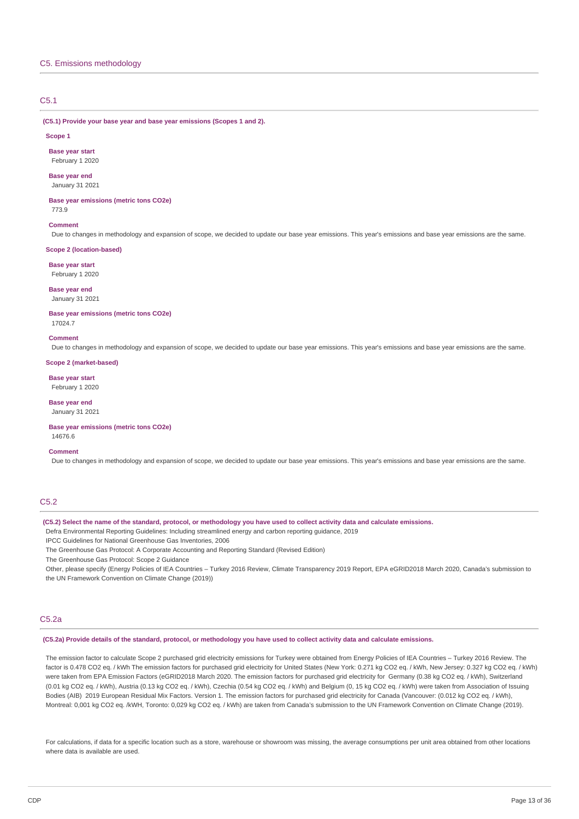## C5.1

**(C5.1) Provide your base year and base year emissions (Scopes 1 and 2).**

#### **Scope 1**

**Base year start** February 1 2020

#### **Base year end** January 31 2021

### **Base year emissions (metric tons CO2e)**

773.9

#### **Comment**

Due to changes in methodology and expansion of scope, we decided to update our base year emissions. This year's emissions and base year emissions are the same.

## **Scope 2 (location-based)**

**Base year start**

February 1 2020

## **Base year end**

January 31 2021

#### **Base year emissions (metric tons CO2e)** 17024.7

**Comment**

Due to changes in methodology and expansion of scope, we decided to update our base year emissions. This year's emissions and base year emissions are the same.

#### **Scope 2 (market-based)**

**Base year start** February 1 2020

#### **Base year end**

January 31 2021

#### **Base year emissions (metric tons CO2e)**

14676.6

## **Comment**

Due to changes in methodology and expansion of scope, we decided to update our base year emissions. This year's emissions and base year emissions are the same.

## C5.2

(C5.2) Select the name of the standard, protocol, or methodology you have used to collect activity data and calculate emissions.

Defra Environmental Reporting Guidelines: Including streamlined energy and carbon reporting guidance, 2019

IPCC Guidelines for National Greenhouse Gas Inventories, 2006

The Greenhouse Gas Protocol: A Corporate Accounting and Reporting Standard (Revised Edition)

The Greenhouse Gas Protocol: Scope 2 Guidance

Other, please specify (Energy Policies of IEA Countries – Turkey 2016 Review, Climate Transparency 2019 Report, EPA eGRID2018 March 2020, Canada's submission to the UN Framework Convention on Climate Change (2019))

### C5.2a

(C5.2a) Provide details of the standard, protocol, or methodology you have used to collect activity data and calculate emissions.

The emission factor to calculate Scope 2 purchased grid electricity emissions for Turkey were obtained from Energy Policies of IEA Countries – Turkey 2016 Review. The factor is 0.478 CO2 eq. / kWh The emission factors for purchased grid electricity for United States (New York: 0.271 kg CO2 eq. / kWh, New Jersey: 0.327 kg CO2 eq. / kWh) were taken from EPA Emission Factors (eGRID2018 March 2020. The emission factors for purchased grid electricity for Germany (0.38 kg CO2 eq. / kWh), Switzerland (0.01 kg CO2 eq. / kWh), Austria (0.13 kg CO2 eq. / kWh), Czechia (0.54 kg CO2 eq. / kWh) and Belgium (0, 15 kg CO2 eq. / kWh) were taken from Association of Issuing Bodies (AIB) 2019 European Residual Mix Factors. Version 1. The emission factors for purchased grid electricity for Canada (Vancouver: (0.012 kg CO2 eq. / kWh), Montreal: 0,001 kg CO2 eq. /kWH, Toronto: 0,029 kg CO2 eq. / kWh) are taken from Canada's submission to the UN Framework Convention on Climate Change (2019).

For calculations, if data for a specific location such as a store, warehouse or showroom was missing, the average consumptions per unit area obtained from other locations where data is available are used.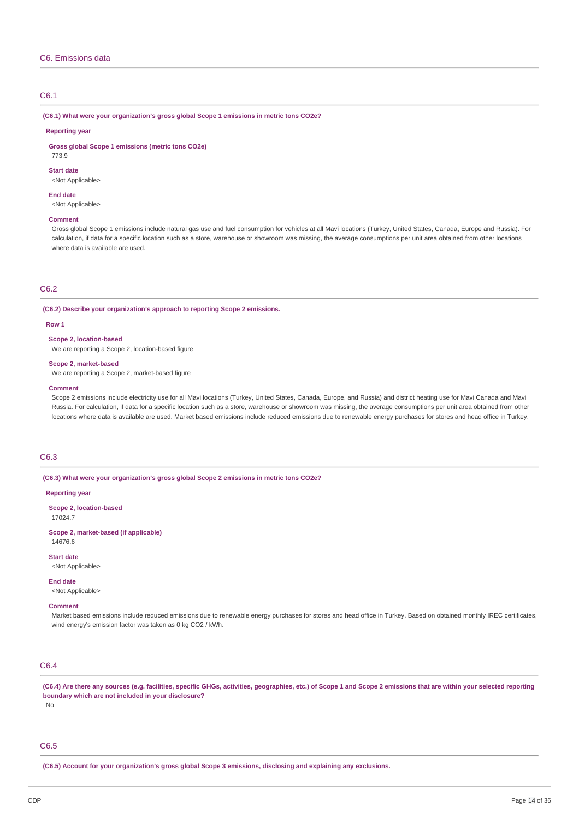## C6.1

### **(C6.1) What were your organization's gross global Scope 1 emissions in metric tons CO2e?**

#### **Reporting year**

**Gross global Scope 1 emissions (metric tons CO2e)**

773.9

#### **Start date**

<Not Applicable>

#### **End date**

<Not Applicable>

#### **Comment**

Gross global Scope 1 emissions include natural gas use and fuel consumption for vehicles at all Mavi locations (Turkey, United States, Canada, Europe and Russia). For calculation, if data for a specific location such as a store, warehouse or showroom was missing, the average consumptions per unit area obtained from other locations where data is available are used.

### C6.2

**(C6.2) Describe your organization's approach to reporting Scope 2 emissions.**

#### **Row 1**

**Scope 2, location-based**

We are reporting a Scope 2, location-based figure

#### **Scope 2, market-based**

We are reporting a Scope 2, market-based figure

#### **Comment**

Scope 2 emissions include electricity use for all Mavi locations (Turkey, United States, Canada, Europe, and Russia) and district heating use for Mavi Canada and Mavi Russia. For calculation, if data for a specific location such as a store, warehouse or showroom was missing, the average consumptions per unit area obtained from other locations where data is available are used. Market based emissions include reduced emissions due to renewable energy purchases for stores and head office in Turkey.

## C6.3

**(C6.3) What were your organization's gross global Scope 2 emissions in metric tons CO2e?**

#### **Reporting year**

**Scope 2, location-based** 17024.7

**Scope 2, market-based (if applicable)** 14676.6

**Start date**

<Not Applicable>

### **End date** <Not Applicable>

**Comment**

Market based emissions include reduced emissions due to renewable energy purchases for stores and head office in Turkey. Based on obtained monthly IREC certificates, wind energy's emission factor was taken as 0 kg CO2 / kWh.

## C6.4

(C6.4) Are there any sources (e.g. facilities, specific GHGs, activities, geographies, etc.) of Scope 1 and Scope 2 emissions that are within your selected reporting **boundary which are not included in your disclosure?** No

# C6.5

**(C6.5) Account for your organization's gross global Scope 3 emissions, disclosing and explaining any exclusions.**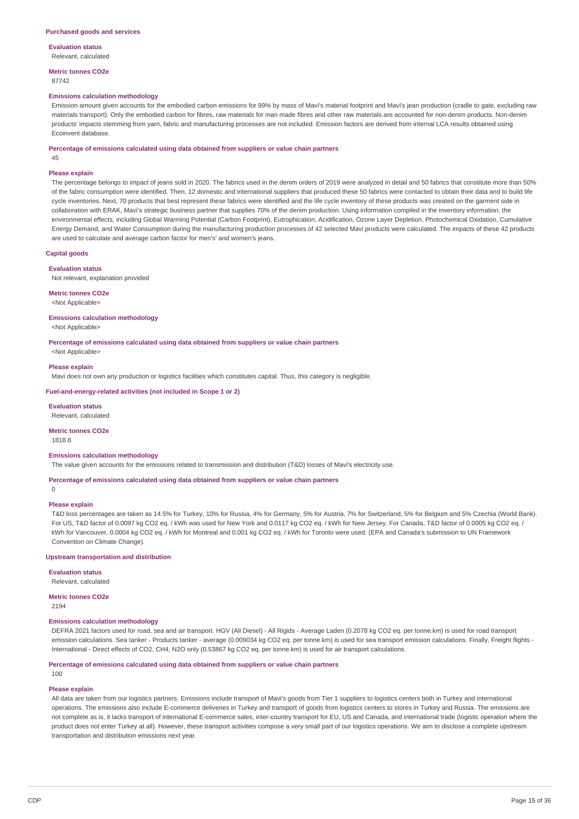**Evaluation status**

Relevant, calculated

**Metric tonnes CO2e** 87742

#### **Emissions calculation methodology**

Emission amount given accounts for the embodied carbon emissions for 99% by mass of Mavi's material footprint and Mavi's jean production (cradle to gate, excluding raw materials transport). Only the embodied carbon for fibres, raw materials for man made fibres and other raw materials are accounted for non-denim products. Non-denim products' impacts stemming from yarn, fabric and manufacturing processes are not included. Emission factors are derived from internal LCA results obtained using Ecoinvent database.

#### **Percentage of emissions calculated using data obtained from suppliers or value chain partners**

45

#### **Please explain**

The percentage belongs to impact of jeans sold in 2020. The fabrics used in the denim orders of 2019 were analyzed in detail and 50 fabrics that constitute more than 50% of the fabric consumption were identified. Then, 12 domestic and international suppliers that produced these 50 fabrics were contacted to obtain their data and to build life cycle inventories. Next, 70 products that best represent these fabrics were identified and the life cycle inventory of these products was created on the garment side in collaboration with ERAK, Mavi's strategic business partner that supplies 70% of the denim production. Using information compiled in the inventory information, the environmental effects, including Global Warming Potential (Carbon Footprint), Eutrophication, Acidification, Ozone Layer Depletion, Photochemical Oxidation, Cumulative Energy Demand, and Water Consumption during the manufacturing production processes of 42 selected Mavi products were calculated. The impacts of these 42 products are used to calculate and average carbon factor for men's' and women's jeans.

#### **Capital goods**

#### **Evaluation status**

Not relevant, explanation provided

#### **Metric tonnes CO2e**

<Not Applicable>

#### **Emissions calculation methodology**

<Not Applicable>

**Percentage of emissions calculated using data obtained from suppliers or value chain partners**

<Not Applicable>

#### **Please explain**

Mavi does not own any production or logistics facilities which constitutes capital. Thus, this category is negligible.

## **Fuel-and-energy-related activities (not included in Scope 1 or 2)**

**Evaluation status** Relevant, calculated

### **Metric tonnes CO2e**

1818.8

 $\Omega$ 

#### **Emissions calculation methodology**

The value given accounts for the emissions related to transmission and distribution (T&D) losses of Mavi's electricity use.

#### **Percentage of emissions calculated using data obtained from suppliers or value chain partners**

#### **Please explain**

T&D loss percentages are taken as 14.5% for Turkey, 10% for Russia, 4% for Germany, 5% for Austria, 7% for Switzerland, 5% for Belgium and 5% Czechia (World Bank). For US, T&D factor of 0.0097 kg CO2 eq. / kWh was used for New York and 0.0117 kg CO2 eq. / kWh for New Jersey. For Canada, T&D factor of 0.0005 kg CO2 eq. / kWh for Vancouver, 0.0004 kg CO2 eq. / kWh for Montreal and 0.001 kg CO2 eq. / kWh for Toronto were used. (EPA and Canada's submission to UN Framework Convention on Climate Change).

### **Upstream transportation and distribution**

**Evaluation status** Relevant, calculated

### **Metric tonnes CO2e**

2194

## **Emissions calculation methodology**

DEFRA 2021 factors used for road, sea and air transport. HGV (All Diesel) - All Rigids - Average Laden (0.2078 kg CO2 eq. per tonne.km) is used for road transport emission calculations. Sea tanker - Products tanker - average (0.009034 kg CO2 eq. per tonne.km) is used for sea transport emission calculations. Finally, Freight flights -International - Direct effects of CO2, CH4, N2O only (0.53867 kg CO2 eq. per tonne.km) is used for air transport calculations.

## **Percentage of emissions calculated using data obtained from suppliers or value chain partners**

100

### **Please explain**

All data are taken from our logistics partners. Emissions include transport of Mavi's goods from Tier 1 suppliers to logistics centers both in Turkey and international operations. The emissions also include E-commerce deliveries in Turkey and transport of goods from logistics centers to stores in Turkey and Russia. The emissions are not complete as is, it lacks transport of international E-commerce sales, inter-country transport for EU, US and Canada, and international trade (logistic operation where the product does not enter Turkey at all). However, these transport activities compose a very small part of our logistics operations. We aim to disclose a complete upstream transportation and distribution emissions next year.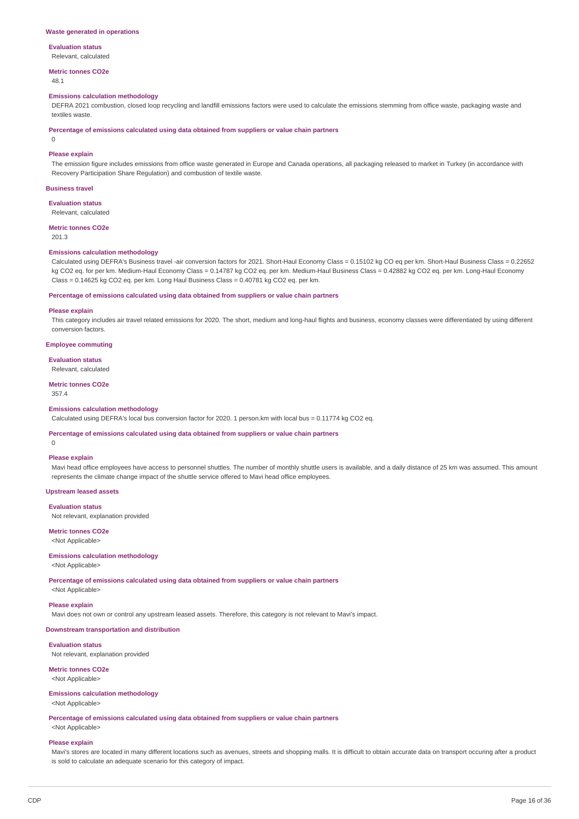## **Evaluation status**

Relevant, calculated

**Metric tonnes CO2e**

48.1

### **Emissions calculation methodology**

DEFRA 2021 combustion, closed loop recycling and landfill emissions factors were used to calculate the emissions stemming from office waste, packaging waste and textiles waste.

**Percentage of emissions calculated using data obtained from suppliers or value chain partners**

0

### **Please explain**

The emission figure includes emissions from office waste generated in Europe and Canada operations, all packaging released to market in Turkey (in accordance with Recovery Participation Share Regulation) and combustion of textile waste.

### **Business travel**

**Evaluation status** Relevant, calculated

### **Metric tonnes CO2e**

201.3

#### **Emissions calculation methodology**

Calculated using DEFRA's Business travel -air conversion factors for 2021. Short-Haul Economy Class = 0.15102 kg CO eq per km. Short-Haul Business Class = 0.22652 kg CO2 eq. for per km. Medium-Haul Economy Class = 0.14787 kg CO2 eq. per km. Medium-Haul Business Class = 0.42882 kg CO2 eq. per km. Long-Haul Economy Class = 0.14625 kg CO2 eq. per km. Long Haul Business Class = 0.40781 kg CO2 eq. per km.

#### **Percentage of emissions calculated using data obtained from suppliers or value chain partners**

#### **Please explain**

This category includes air travel related emissions for 2020. The short, medium and long-haul flights and business, economy classes were differentiated by using different conversion factors.

**Employee commuting**

#### **Evaluation status**

Relevant, calculated

## **Metric tonnes CO2e**

357.4

### **Emissions calculation methodology**

Calculated using DEFRA's local bus conversion factor for 2020. 1 person.km with local bus = 0.11774 kg CO2 eq.

## **Percentage of emissions calculated using data obtained from suppliers or value chain partners**

 $\Omega$ 

## **Please explain**

Mavi head office employees have access to personnel shuttles. The number of monthly shuttle users is available, and a daily distance of 25 km was assumed. This amount represents the climate change impact of the shuttle service offered to Mavi head office employees.

### **Upstream leased assets**

**Evaluation status**

Not relevant, explanation provided

**Metric tonnes CO2e** <Not Applicable>

## **Emissions calculation methodology**

<Not Applicable>

**Percentage of emissions calculated using data obtained from suppliers or value chain partners**

<Not Applicable>

## **Please explain**

Mavi does not own or control any upstream leased assets. Therefore, this category is not relevant to Mavi's impact.

### **Downstream transportation and distribution**

**Evaluation status**

Not relevant, explanation provided

#### **Metric tonnes CO2e** <Not Applicable>

# **Emissions calculation methodology**

<Not Applicable>

**Percentage of emissions calculated using data obtained from suppliers or value chain partners**

## <Not Applicable> **Please explain**

Mavi's stores are located in many different locations such as avenues, streets and shopping malls. It is difficult to obtain accurate data on transport occuring after a product is sold to calculate an adequate scenario for this category of impact.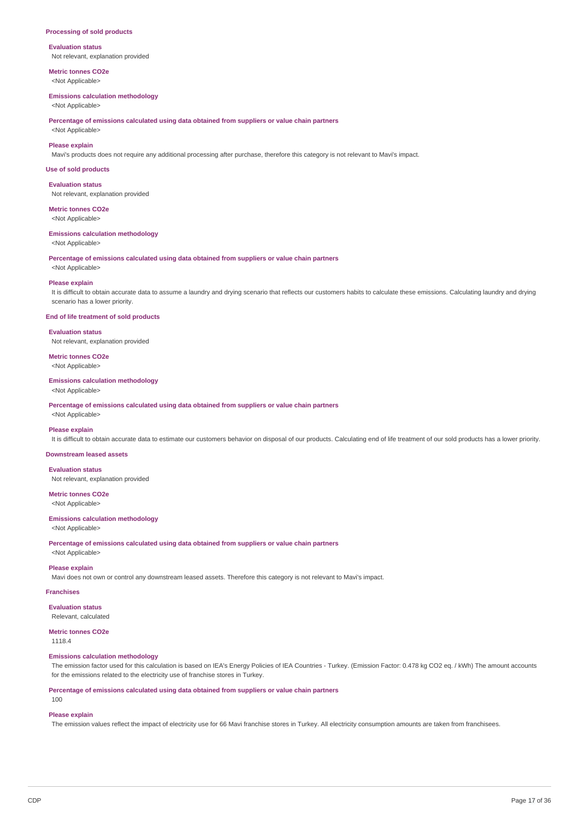#### **Processing of sold products**

### **Evaluation status** Not relevant, explanation provided

**Metric tonnes CO2e**

<Not Applicable>

## **Emissions calculation methodology**

<Not Applicable>

**Percentage of emissions calculated using data obtained from suppliers or value chain partners**

# <Not Applicable> **Please explain**

Mavi's products does not require any additional processing after purchase, therefore this category is not relevant to Mavi's impact.

#### **Use of sold products**

**Evaluation status** Not relevant, explanation provided

## **Metric tonnes CO2e**

<Not Applicable>

#### **Emissions calculation methodology**

<Not Applicable>

**Percentage of emissions calculated using data obtained from suppliers or value chain partners**

<Not Applicable>

### **Please explain**

It is difficult to obtain accurate data to assume a laundry and drying scenario that reflects our customers habits to calculate these emissions. Calculating laundry and drying scenario has a lower priority.

### **End of life treatment of sold products**

**Evaluation status** Not relevant, explanation provided

# **Metric tonnes CO2e**

<Not Applicable>

## **Emissions calculation methodology**

<Not Applicable>

**Percentage of emissions calculated using data obtained from suppliers or value chain partners**

# <Not Applicable> **Please explain**

It is difficult to obtain accurate data to estimate our customers behavior on disposal of our products. Calculating end of life treatment of our sold products has a lower priority.

### **Downstream leased assets**

**Evaluation status** Not relevant, explanation provided

# **Metric tonnes CO2e**

<Not Applicable>

## **Emissions calculation methodology**

<Not Applicable>

**Percentage of emissions calculated using data obtained from suppliers or value chain partners**

<Not Applicable>

## **Please explain**

Mavi does not own or control any downstream leased assets. Therefore this category is not relevant to Mavi's impact.

## **Franchises**

**Evaluation status**

Relevant, calculated

## **Metric tonnes CO2e**

1118.4

### **Emissions calculation methodology**

The emission factor used for this calculation is based on IEA's Energy Policies of IEA Countries - Turkey. (Emission Factor: 0.478 kg CO2 eq. / kWh) The amount accounts for the emissions related to the electricity use of franchise stores in Turkey.

**Percentage of emissions calculated using data obtained from suppliers or value chain partners**

100

### **Please explain**

The emission values reflect the impact of electricity use for 66 Mavi franchise stores in Turkey. All electricity consumption amounts are taken from franchisees.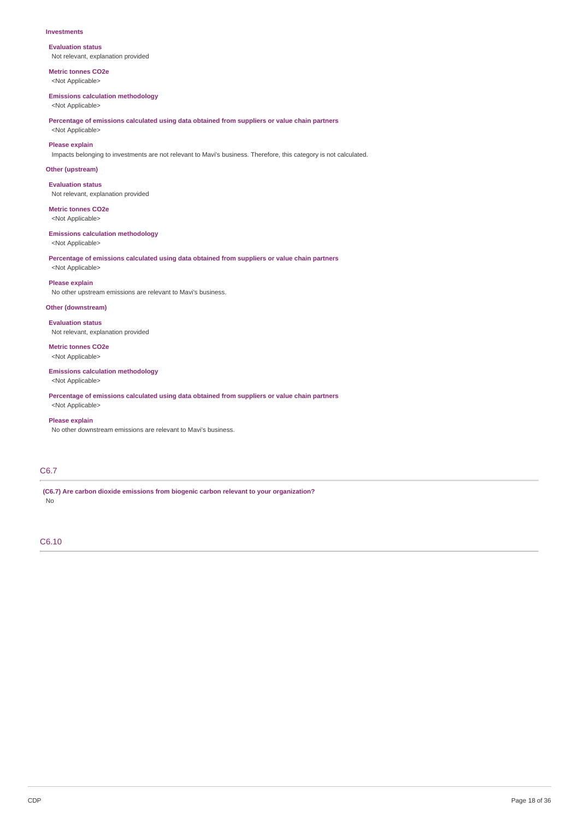#### **Investments**

**Evaluation status** Not relevant, explanation provided

**Metric tonnes CO2e** <Not Applicable>

## **Emissions calculation methodology**

<Not Applicable>

**Percentage of emissions calculated using data obtained from suppliers or value chain partners** <Not Applicable>

## **Please explain**

Impacts belonging to investments are not relevant to Mavi's business. Therefore, this category is not calculated.

## **Other (upstream)**

**Evaluation status** Not relevant, explanation provided

**Metric tonnes CO2e** <Not Applicable>

## **Emissions calculation methodology**

<Not Applicable>

**Percentage of emissions calculated using data obtained from suppliers or value chain partners** <Not Applicable>

### **Please explain**

No other upstream emissions are relevant to Mavi's business.

## **Other (downstream)**

**Evaluation status** Not relevant, explanation provided

# **Metric tonnes CO2e**

<Not Applicable>

## **Emissions calculation methodology**

<Not Applicable>

**Percentage of emissions calculated using data obtained from suppliers or value chain partners**

# <Not Applicable> **Please explain**

No other downstream emissions are relevant to Mavi's business.

## C6.7

**(C6.7) Are carbon dioxide emissions from biogenic carbon relevant to your organization?** No

C6.10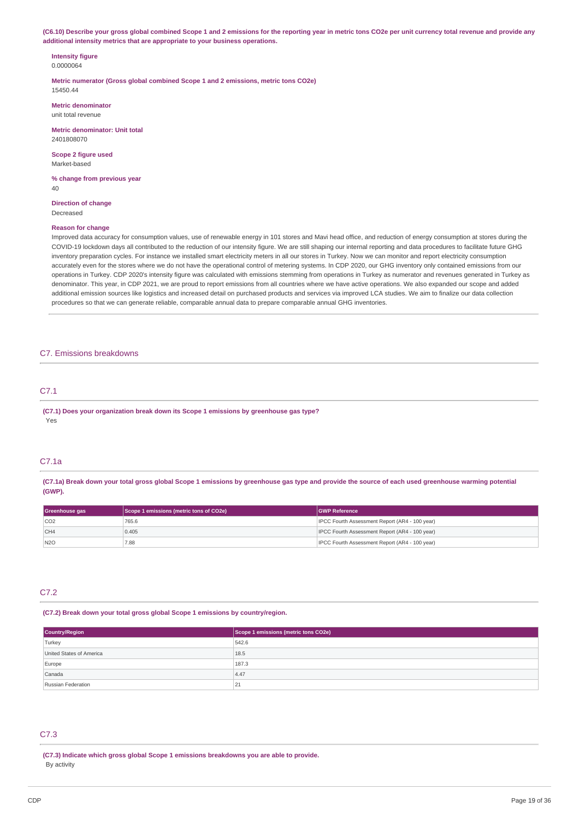(C6.10) Describe your gross global combined Scope 1 and 2 emissions for the reporting year in metric tons CO2e per unit currency total revenue and provide any **additional intensity metrics that are appropriate to your business operations.**

**Intensity figure** 0.0000064

**Metric numerator (Gross global combined Scope 1 and 2 emissions, metric tons CO2e)** 15450.44

**Metric denominator** unit total revenue

**Metric denominator: Unit total** 2401808070

**Scope 2 figure used** Market-based

**% change from previous year** 40

**Direction of change** Decreased

### **Reason for change**

Improved data accuracy for consumption values, use of renewable energy in 101 stores and Mavi head office, and reduction of energy consumption at stores during the COVID-19 lockdown days all contributed to the reduction of our intensity figure. We are still shaping our internal reporting and data procedures to facilitate future GHG inventory preparation cycles. For instance we installed smart electricity meters in all our stores in Turkey. Now we can monitor and report electricity consumption accurately even for the stores where we do not have the operational control of metering systems. In CDP 2020, our GHG inventory only contained emissions from our operations in Turkey. CDP 2020's intensity figure was calculated with emissions stemming from operations in Turkey as numerator and revenues generated in Turkey as denominator. This year, in CDP 2021, we are proud to report emissions from all countries where we have active operations. We also expanded our scope and added additional emission sources like logistics and increased detail on purchased products and services via improved LCA studies. We aim to finalize our data collection procedures so that we can generate reliable, comparable annual data to prepare comparable annual GHG inventories.

### C7. Emissions breakdowns

# C7.1

**(C7.1) Does your organization break down its Scope 1 emissions by greenhouse gas type?** Yes

## C7.1a

(C7.1a) Break down your total gross global Scope 1 emissions by greenhouse gas type and provide the source of each used greenhouse warming potential **(GWP).**

| Greenhouse gas | Scope 1 emissions (metric tons of CO2e) | <b>GWP Reference</b>                           |
|----------------|-----------------------------------------|------------------------------------------------|
| CO2            | 765.6                                   | IPCC Fourth Assessment Report (AR4 - 100 year) |
| CH4            | 0.405                                   | IPCC Fourth Assessment Report (AR4 - 100 year) |
| N2O            | 7.88                                    | IPCC Fourth Assessment Report (AR4 - 100 year) |

## C7.2

**(C7.2) Break down your total gross global Scope 1 emissions by country/region.**

| <b>Country/Region</b>    | Scope 1 emissions (metric tons CO2e) |
|--------------------------|--------------------------------------|
| Turkey                   | 542.6                                |
| United States of America | 18.5                                 |
| Europe                   | 187.3                                |
| Canada                   | 4.47                                 |
| Russian Federation       | $\mathbf{A}$<br>41                   |

## C7.3

**(C7.3) Indicate which gross global Scope 1 emissions breakdowns you are able to provide.** By activity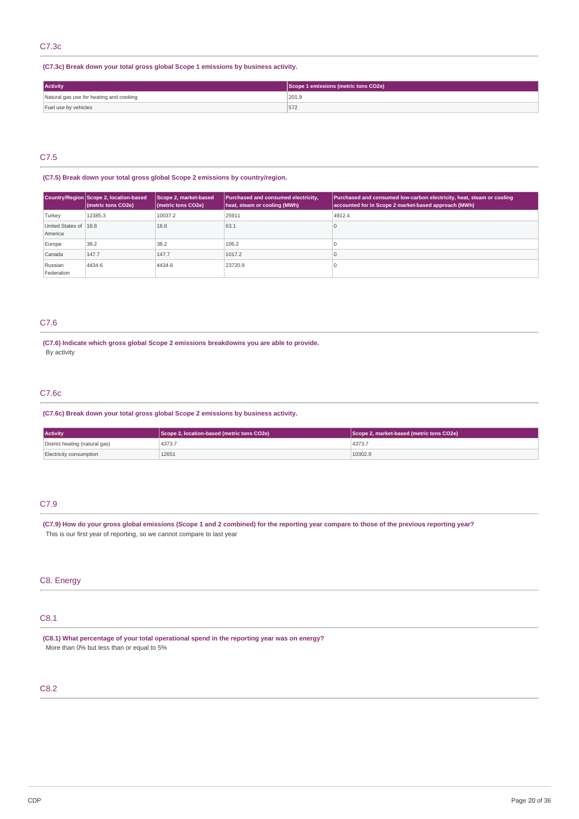## C7.3c

## **(C7.3c) Break down your total gross global Scope 1 emissions by business activity.**

| <b>Activity</b>                         | Scope 1 emissions (metric tons CO2e) |
|-----------------------------------------|--------------------------------------|
| Natural gas use for heating and cooking | 201.9                                |
| Fuel use by vehicles                    | 5/2                                  |

# C7.5

## **(C7.5) Break down your total gross global Scope 2 emissions by country/region.**

|                                  | Country/Region Scope 2, location-based<br>(metric tons CO2e) | Scope 2, market-based<br>(metric tons CO2e) | Purchased and consumed electricity,<br>heat, steam or cooling (MWh) | Purchased and consumed low-carbon electricity, heat, steam or cooling<br>accounted for in Scope 2 market-based approach (MWh) |
|----------------------------------|--------------------------------------------------------------|---------------------------------------------|---------------------------------------------------------------------|-------------------------------------------------------------------------------------------------------------------------------|
| Turkey                           | 12385.3                                                      | 10037.2                                     | 25911                                                               | 4912.4                                                                                                                        |
| United States of 18.8<br>America |                                                              | 18.8                                        | 63.1                                                                |                                                                                                                               |
| Europe                           | 38.2                                                         | 38.2                                        | 106.2                                                               |                                                                                                                               |
| Canada                           | 147.7                                                        | 147.7                                       | 1017.2                                                              |                                                                                                                               |
| Russian<br>Federation            | 4434.6                                                       | 4434.6                                      | 23720.9                                                             |                                                                                                                               |

## C7.6

**(C7.6) Indicate which gross global Scope 2 emissions breakdowns you are able to provide.** By activity

## C7.6c

**(C7.6c) Break down your total gross global Scope 2 emissions by business activity.**

| <b>Activity</b>                | Scope 2, location-based (metric tons CO2e) | Scope 2, market-based (metric tons CO2e) |  |
|--------------------------------|--------------------------------------------|------------------------------------------|--|
| District heating (natural gas) | 4373.7                                     | 4373.7                                   |  |
| Electricity consumption        | 12651                                      | 10302.9                                  |  |

## C7.9

(C7.9) How do your gross global emissions (Scope 1 and 2 combined) for the reporting year compare to those of the previous reporting year? This is our first year of reporting, so we cannot compare to last year

## C8. Energy

# C8.1

**(C8.1) What percentage of your total operational spend in the reporting year was on energy?** More than 0% but less than or equal to 5%

# C8.2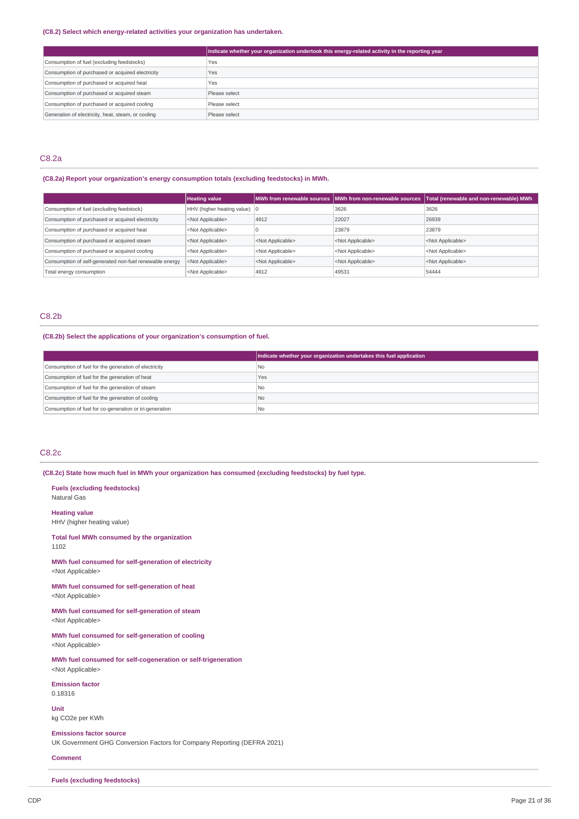### **(C8.2) Select which energy-related activities your organization has undertaken.**

|                                                    | Indicate whether your organization undertook this energy-related activity in the reporting year |
|----------------------------------------------------|-------------------------------------------------------------------------------------------------|
| Consumption of fuel (excluding feedstocks)         | Yes                                                                                             |
| Consumption of purchased or acquired electricity   | Yes                                                                                             |
| Consumption of purchased or acquired heat          | Yes                                                                                             |
| Consumption of purchased or acquired steam         | Please select                                                                                   |
| Consumption of purchased or acquired cooling       | Please select                                                                                   |
| Generation of electricity, heat, steam, or cooling | Please select                                                                                   |

## C8.2a

## **(C8.2a) Report your organization's energy consumption totals (excluding feedstocks) in MWh.**

|                                                         | <b>Heating value</b>                   |                           | MWh from renewable sources MWh from non-renewable sources | Total (renewable and non-renewable) MWh |
|---------------------------------------------------------|----------------------------------------|---------------------------|-----------------------------------------------------------|-----------------------------------------|
| Consumption of fuel (excluding feedstock)               | HHV (higher heating value) $ 0\rangle$ |                           | 3626                                                      | 3626                                    |
| Consumption of purchased or acquired electricity        | <not applicable=""></not>              | 4912                      | 22027                                                     | 26939                                   |
| Consumption of purchased or acquired heat               | <not applicable=""></not>              |                           | 23879                                                     | 23879                                   |
| Consumption of purchased or acquired steam              | <not applicable=""></not>              | <not applicable=""></not> | <not applicable=""></not>                                 | <not applicable=""></not>               |
| Consumption of purchased or acquired cooling            | <not applicable=""></not>              | <not applicable=""></not> | <not applicable=""></not>                                 | <not applicable=""></not>               |
| Consumption of self-generated non-fuel renewable energy | <not applicable=""></not>              | <not applicable=""></not> | <not applicable=""></not>                                 | <not applicable=""></not>               |
| Total energy consumption                                | <not applicable=""></not>              | 4912                      | 49531                                                     | 54444                                   |

## C8.2b

## **(C8.2b) Select the applications of your organization's consumption of fuel.**

|                                                         | Indicate whether your organization undertakes this fuel application |
|---------------------------------------------------------|---------------------------------------------------------------------|
| Consumption of fuel for the generation of electricity   | l No                                                                |
| Consumption of fuel for the generation of heat          | Yes                                                                 |
| Consumption of fuel for the generation of steam         | l No                                                                |
| Consumption of fuel for the generation of cooling       | No.                                                                 |
| Consumption of fuel for co-generation or tri-generation | l No                                                                |

## C8.2c

**(C8.2c) State how much fuel in MWh your organization has consumed (excluding feedstocks) by fuel type.**

**Fuels (excluding feedstocks)** Natural Gas **Heating value**

HHV (higher heating value)

**Total fuel MWh consumed by the organization** 1102

**MWh fuel consumed for self-generation of electricity** <Not Applicable>

**MWh fuel consumed for self-generation of heat** <Not Applicable>

**MWh fuel consumed for self-generation of steam** <Not Applicable>

**MWh fuel consumed for self-generation of cooling** <Not Applicable>

**MWh fuel consumed for self-cogeneration or self-trigeneration** <Not Applicable>

**Emission factor** 0.18316

**Unit** kg CO2e per KWh

**Emissions factor source**

UK Government GHG Conversion Factors for Company Reporting (DEFRA 2021)

### **Comment**

**Fuels (excluding feedstocks)**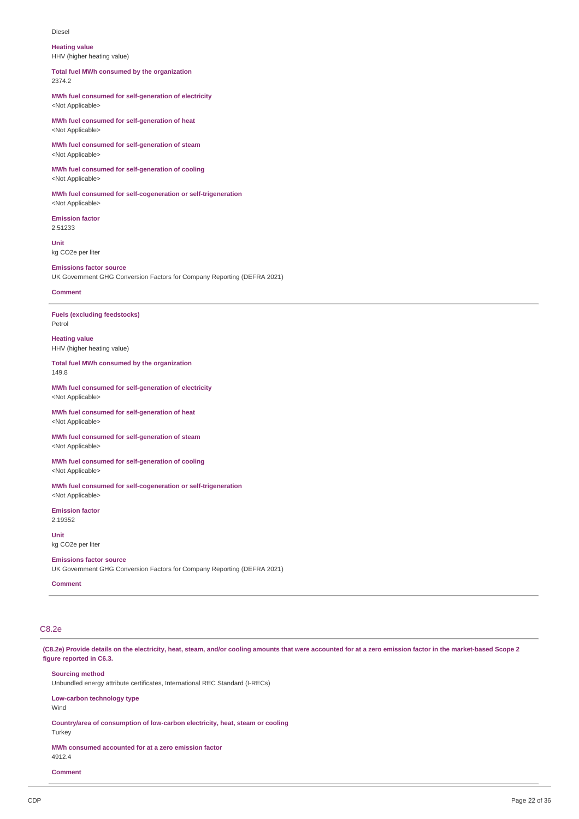#### Diesel

**Heating value** HHV (higher heating value)

**Total fuel MWh consumed by the organization** 2374.2

**MWh fuel consumed for self-generation of electricity** <Not Applicable>

**MWh fuel consumed for self-generation of heat** <Not Applicable>

**MWh fuel consumed for self-generation of steam** <Not Applicable>

**MWh fuel consumed for self-generation of cooling** <Not Applicable>

**MWh fuel consumed for self-cogeneration or self-trigeneration** <Not Applicable>

**Emission factor** 2.51233

**Unit** kg CO2e per liter

# **Emissions factor source**

UK Government GHG Conversion Factors for Company Reporting (DEFRA 2021)

## **Comment**

**Fuels (excluding feedstocks)** Petrol

**Heating value** HHV (higher heating value)

**Total fuel MWh consumed by the organization** 149.8

**MWh fuel consumed for self-generation of electricity** <Not Applicable>

**MWh fuel consumed for self-generation of heat** <Not Applicable>

**MWh fuel consumed for self-generation of steam** <Not Applicable>

**MWh fuel consumed for self-generation of cooling** <Not Applicable>

**MWh fuel consumed for self-cogeneration or self-trigeneration** <Not Applicable>

**Emission factor** 2.19352

**Unit** kg CO2e per liter

### **Emissions factor source**

UK Government GHG Conversion Factors for Company Reporting (DEFRA 2021)

**Comment**

## C8.2e

(C8.2e) Provide details on the electricity, heat, steam, and/or cooling amounts that were accounted for at a zero emission factor in the market-based Scope 2 **figure reported in C6.3.**

### **Sourcing method**

Unbundled energy attribute certificates, International REC Standard (I-RECs)

**Low-carbon technology type** Wind

**Country/area of consumption of low-carbon electricity, heat, steam or cooling**

Turkey

**MWh consumed accounted for at a zero emission factor** 4912.4

**Comment**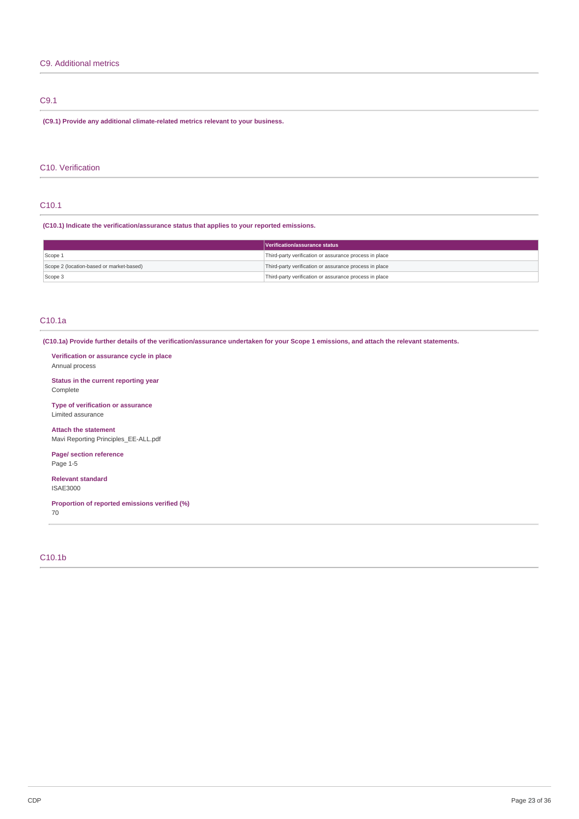## C9. Additional metrics

## C9.1

**(C9.1) Provide any additional climate-related metrics relevant to your business.**

## C10. Verification

## C10.1

**(C10.1) Indicate the verification/assurance status that applies to your reported emissions.**

|                                          | Verification/assurance status                          |
|------------------------------------------|--------------------------------------------------------|
| Scope 1                                  | Third-party verification or assurance process in place |
| Scope 2 (location-based or market-based) | Third-party verification or assurance process in place |
| Scope 3                                  | Third-party verification or assurance process in place |

## C10.1a

(C10.1a) Provide further details of the verification/assurance undertaken for your Scope 1 emissions, and attach the relevant statements.

**Verification or assurance cycle in place** Annual process

**Status in the current reporting year** Complete

**Type of verification or assurance** Limited assurance

**Attach the statement** Mavi Reporting Principles\_EE-ALL.pdf

**Page/ section reference** Page 1-5

**Relevant standard** ISAE3000

**Proportion of reported emissions verified (%)** 70

## C10.1b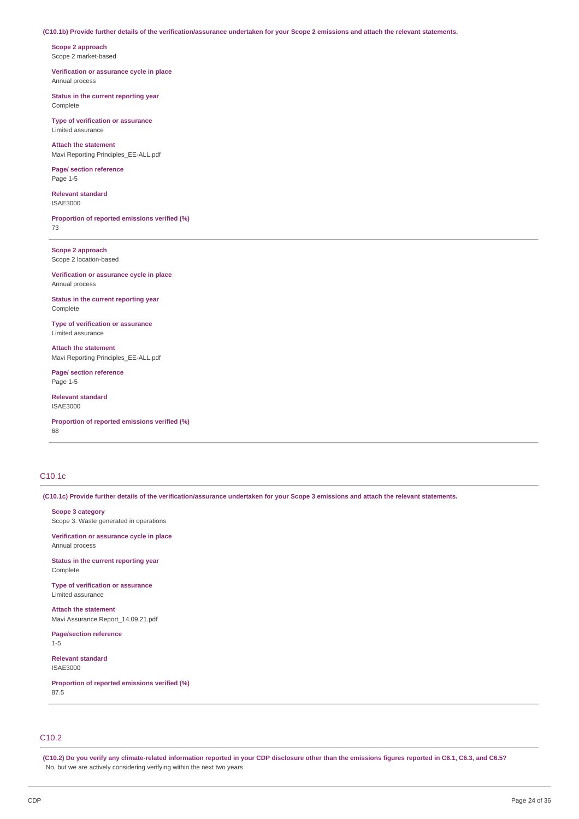### (C10.1b) Provide further details of the verification/assurance undertaken for your Scope 2 emissions and attach the relevant statements.

**Scope 2 approach** Scope 2 market-based

**Verification or assurance cycle in place** Annual process

**Status in the current reporting year** Complete

**Type of verification or assurance** Limited assurance

**Attach the statement** Mavi Reporting Principles\_EE-ALL.pdf

**Page/ section reference** Page 1-5

**Relevant standard** ISAE3000

**Proportion of reported emissions verified (%)** 73

**Scope 2 approach** Scope 2 location-based

**Verification or assurance cycle in place** Annual process

**Status in the current reporting year** Complete

**Type of verification or assurance** Limited assurance

**Attach the statement** Mavi Reporting Principles\_EE-ALL.pdf

**Page/ section reference** Page 1-5

**Relevant standard** ISAE3000

**Proportion of reported emissions verified (%)** 68

# C10.1c

(C10.1c) Provide further details of the verification/assurance undertaken for your Scope 3 emissions and attach the relevant statements.

**Scope 3 category**

Scope 3: Waste generated in operations

**Verification or assurance cycle in place** Annual process

**Status in the current reporting year** Complete

**Type of verification or assurance** Limited assurance

**Attach the statement** Mavi Assurance Report\_14.09.21.pdf

**Page/section reference** 1-5

**Relevant standard** ISAE3000

**Proportion of reported emissions verified (%)** 87.5

## C10.2

(C10.2) Do you verify any climate-related information reported in your CDP disclosure other than the emissions figures reported in C6.1, C6.3, and C6.5? No, but we are actively considering verifying within the next two years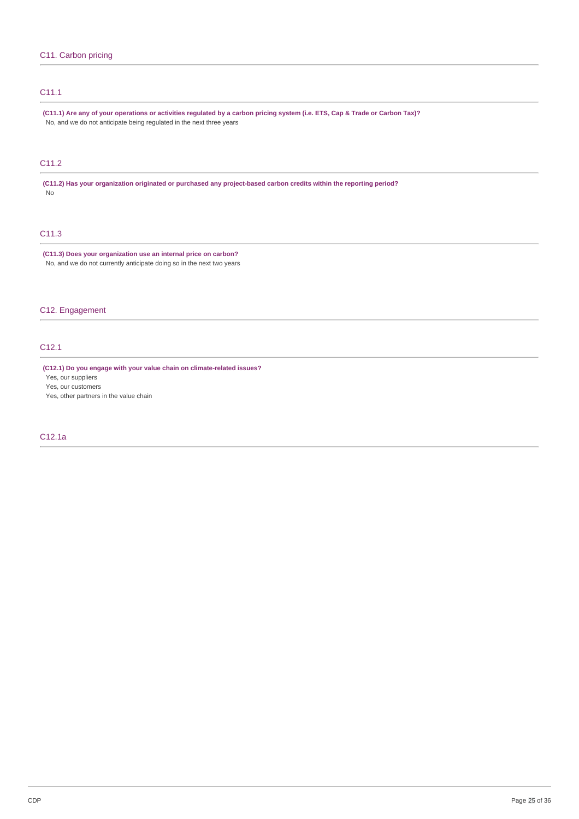# C11.1

(C11.1) Are any of your operations or activities regulated by a carbon pricing system (i.e. ETS, Cap & Trade or Carbon Tax)? No, and we do not anticipate being regulated in the next three years

# C11.2

**(C11.2) Has your organization originated or purchased any project-based carbon credits within the reporting period?** No

# C11.3

**(C11.3) Does your organization use an internal price on carbon?** No, and we do not currently anticipate doing so in the next two years

# C12. Engagement

# C12.1

**(C12.1) Do you engage with your value chain on climate-related issues?**

Yes, our suppliers

Yes, our customers

Yes, other partners in the value chain

## C12.1a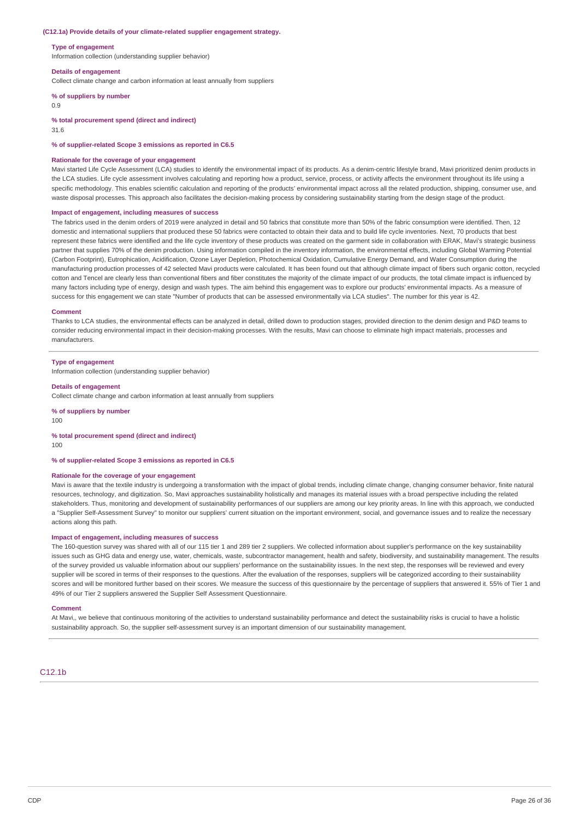#### **(C12.1a) Provide details of your climate-related supplier engagement strategy.**

#### **Type of engagement**

Information collection (understanding supplier behavior)

#### **Details of engagement**

Collect climate change and carbon information at least annually from suppliers

## **% of suppliers by number**

0.9

#### **% total procurement spend (direct and indirect)**

31.6

**% of supplier-related Scope 3 emissions as reported in C6.5**

#### **Rationale for the coverage of your engagement**

Mavi started Life Cycle Assessment (LCA) studies to identify the environmental impact of its products. As a denim-centric lifestyle brand, Mavi prioritized denim products in the LCA studies. Life cycle assessment involves calculating and reporting how a product, service, process, or activity affects the environment throughout its life using a specific methodology. This enables scientific calculation and reporting of the products' environmental impact across all the related production, shipping, consumer use, and waste disposal processes. This approach also facilitates the decision-making process by considering sustainability starting from the design stage of the product.

#### **Impact of engagement, including measures of success**

The fabrics used in the denim orders of 2019 were analyzed in detail and 50 fabrics that constitute more than 50% of the fabric consumption were identified. Then, 12 domestic and international suppliers that produced these 50 fabrics were contacted to obtain their data and to build life cycle inventories. Next, 70 products that best represent these fabrics were identified and the life cycle inventory of these products was created on the garment side in collaboration with ERAK, Mavi's strategic business partner that supplies 70% of the denim production. Using information compiled in the inventory information, the environmental effects, including Global Warming Potential (Carbon Footprint), Eutrophication, Acidification, Ozone Layer Depletion, Photochemical Oxidation, Cumulative Energy Demand, and Water Consumption during the manufacturing production processes of 42 selected Mavi products were calculated. It has been found out that although climate impact of fibers such organic cotton, recycled cotton and Tencel are clearly less than conventional fibers and fiber constitutes the majority of the climate impact of our products, the total climate impact is influenced by many factors including type of energy, design and wash types. The aim behind this engagement was to explore our products' environmental impacts. As a measure of success for this engagement we can state "Number of products that can be assessed environmentally via LCA studies". The number for this year is 42.

#### **Comment**

Thanks to LCA studies, the environmental effects can be analyzed in detail, drilled down to production stages, provided direction to the denim design and P&D teams to consider reducing environmental impact in their decision-making processes. With the results, Mavi can choose to eliminate high impact materials, processes and manufacturers.

#### **Type of engagement**

Information collection (understanding supplier behavior)

#### **Details of engagement**

Collect climate change and carbon information at least annually from suppliers

**% of suppliers by number**

100

### **% total procurement spend (direct and indirect)**

100

### **% of supplier-related Scope 3 emissions as reported in C6.5**

### **Rationale for the coverage of your engagement**

Mavi is aware that the textile industry is undergoing a transformation with the impact of global trends, including climate change, changing consumer behavior, finite natural resources, technology, and digitization. So, Mavi approaches sustainability holistically and manages its material issues with a broad perspective including the related stakeholders. Thus, monitoring and development of sustainability performances of our suppliers are among our key priority areas. In line with this approach, we conducted a "Supplier Self-Assessment Survey" to monitor our suppliers' current situation on the important environment, social, and governance issues and to realize the necessary actions along this path.

## **Impact of engagement, including measures of success**

The 160-question survey was shared with all of our 115 tier 1 and 289 tier 2 suppliers. We collected information about supplier's performance on the key sustainability issues such as GHG data and energy use, water, chemicals, waste, subcontractor management, health and safety, biodiversity, and sustainability management. The results of the survey provided us valuable information about our suppliers' performance on the sustainability issues. In the next step, the responses will be reviewed and every supplier will be scored in terms of their responses to the questions. After the evaluation of the responses, suppliers will be categorized according to their sustainability scores and will be monitored further based on their scores. We measure the success of this questionnaire by the percentage of suppliers that answered it. 55% of Tier 1 and 49% of our Tier 2 suppliers answered the Supplier Self Assessment Questionnaire.

#### **Comment**

At Mavi,, we believe that continuous monitoring of the activities to understand sustainability performance and detect the sustainability risks is crucial to have a holistic sustainability approach. So, the supplier self-assessment survey is an important dimension of our sustainability management.

C12.1b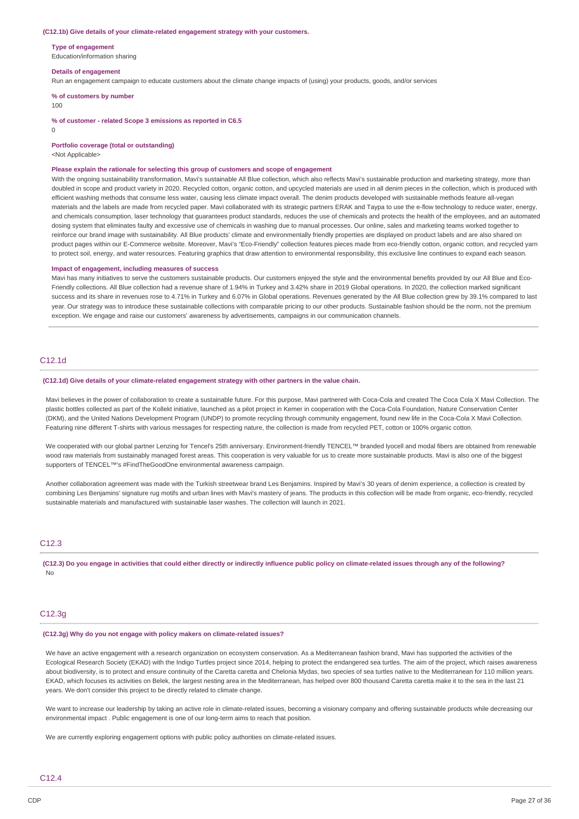#### **(C12.1b) Give details of your climate-related engagement strategy with your customers.**

**Type of engagement**

Education/information sharing

#### **Details of engagement**

Run an engagement campaign to educate customers about the climate change impacts of (using) your products, goods, and/or services

**% of customers by number**

#### 100

**% of customer - related Scope 3 emissions as reported in C6.5**

 $\Omega$ 

**Portfolio coverage (total or outstanding)**

<Not Applicable>

#### **Please explain the rationale for selecting this group of customers and scope of engagement**

With the ongoing sustainability transformation, Mavi's sustainable All Blue collection, which also reflects Mavi's sustainable production and marketing strategy, more than doubled in scope and product variety in 2020. Recycled cotton, organic cotton, and upcycled materials are used in all denim pieces in the collection, which is produced with efficient washing methods that consume less water, causing less climate impact overall. The denim products developed with sustainable methods feature all-vegan materials and the labels are made from recycled paper. Mavi collaborated with its strategic partners ERAK and Taypa to use the e-flow technology to reduce water, energy, and chemicals consumption, laser technology that guarantees product standards, reduces the use of chemicals and protects the health of the employees, and an automated dosing system that eliminates faulty and excessive use of chemicals in washing due to manual processes. Our online, sales and marketing teams worked together to reinforce our brand image with sustainability. All Blue products' climate and environmentally friendly properties are displayed on product labels and are also shared on product pages within our E-Commerce website. Moreover, Mayi's "Eco-Friendly" collection features pieces made from eco-friendly cotton, organic cotton, and recycled yarn to protect soil, energy, and water resources. Featuring graphics that draw attention to environmental responsibility, this exclusive line continues to expand each season.

#### **Impact of engagement, including measures of success**

Mavi has many initiatives to serve the customers sustainable products. Our customers enjoyed the style and the environmental benefits provided by our All Blue and Eco-Friendly collections. All Blue collection had a revenue share of 1.94% in Turkey and 3.42% share in 2019 Global operations. In 2020, the collection marked significant success and its share in revenues rose to 4.71% in Turkey and 6.07% in Global operations. Revenues generated by the All Blue collection grew by 39.1% compared to last year. Our strategy was to introduce these sustainable collections with comparable pricing to our other products. Sustainable fashion should be the norm, not the premium exception. We engage and raise our customers' awareness by advertisements, campaigns in our communication channels.

## C12.1d

#### **(C12.1d) Give details of your climate-related engagement strategy with other partners in the value chain.**

Mavi believes in the power of collaboration to create a sustainable future. For this purpose, Mavi partnered with Coca-Cola and created The Coca Cola X Mavi Collection. The plastic bottles collected as part of the Kollekt initiative, launched as a pilot project in Kemer in cooperation with the Coca-Cola Foundation, Nature Conservation Center (DKM), and the United Nations Development Program (UNDP) to promote recycling through community engagement, found new life in the Coca-Cola X Mavi Collection. Featuring nine different T-shirts with various messages for respecting nature, the collection is made from recycled PET, cotton or 100% organic cotton.

We cooperated with our global partner Lenzing for Tencel's 25th anniversary. Environment-friendly TENCEL™ branded lyocell and modal fibers are obtained from renewable wood raw materials from sustainably managed forest areas. This cooperation is very valuable for us to create more sustainable products. Mavi is also one of the biggest supporters of TENCEL™'s #FindTheGoodOne environmental awareness campaign.

Another collaboration agreement was made with the Turkish streetwear brand Les Benjamins. Inspired by Mavi's 30 years of denim experience, a collection is created by combining Les Benjamins' signature rug motifs and urban lines with Mavi's mastery of jeans. The products in this collection will be made from organic, eco-friendly, recycled sustainable materials and manufactured with sustainable laser washes. The collection will launch in 2021.

### C<sub>12</sub>.3

(C12.3) Do you engage in activities that could either directly or indirectly influence public policy on climate-related issues through any of the following? No

## C12.3g

### **(C12.3g) Why do you not engage with policy makers on climate-related issues?**

We have an active engagement with a research organization on ecosystem conservation. As a Mediterranean fashion brand, Mavi has supported the activities of the Ecological Research Society (EKAD) with the Indigo Turtles project since 2014, helping to protect the endangered sea turtles. The aim of the project, which raises awareness about biodiversity, is to protect and ensure continuity of the Caretta caretta and Chelonia Mydas, two species of sea turtles native to the Mediterranean for 110 million years. EKAD, which focuses its activities on Belek, the largest nesting area in the Mediterranean, has helped over 800 thousand Caretta caretta make it to the sea in the last 21 years. We don't consider this project to be directly related to climate change.

We want to increase our leadership by taking an active role in climate-related issues, becoming a visionary company and offering sustainable products while decreasing our environmental impact . Public engagement is one of our long-term aims to reach that position.

We are currently exploring engagement options with public policy authorities on climate-related issues.